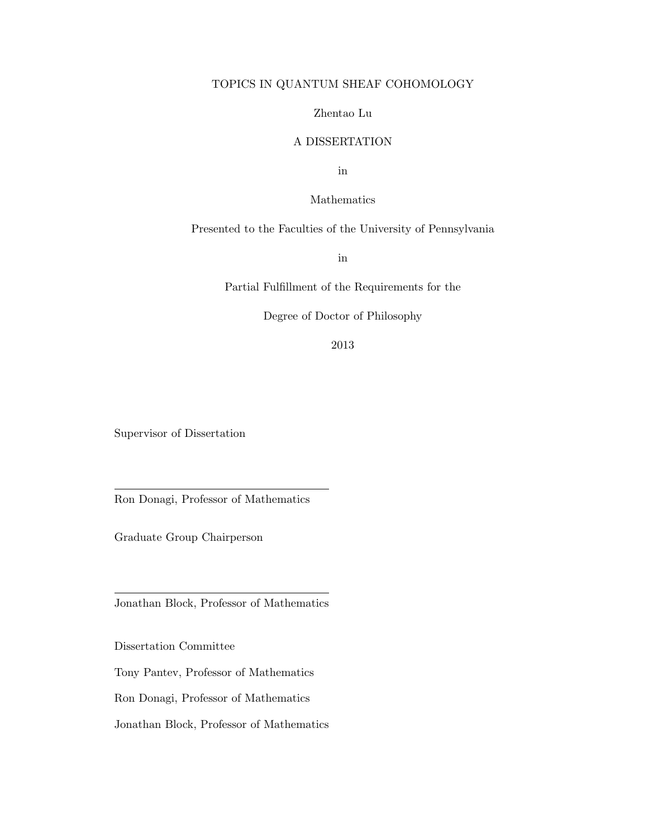#### TOPICS IN QUANTUM SHEAF COHOMOLOGY

#### Zhentao Lu

#### A DISSERTATION

in

Mathematics

Presented to the Faculties of the University of Pennsylvania

in

Partial Fulfillment of the Requirements for the

Degree of Doctor of Philosophy

2013

Supervisor of Dissertation

Ron Donagi, Professor of Mathematics

Graduate Group Chairperson

Jonathan Block, Professor of Mathematics

Dissertation Committee

Tony Pantev, Professor of Mathematics

Ron Donagi, Professor of Mathematics

Jonathan Block, Professor of Mathematics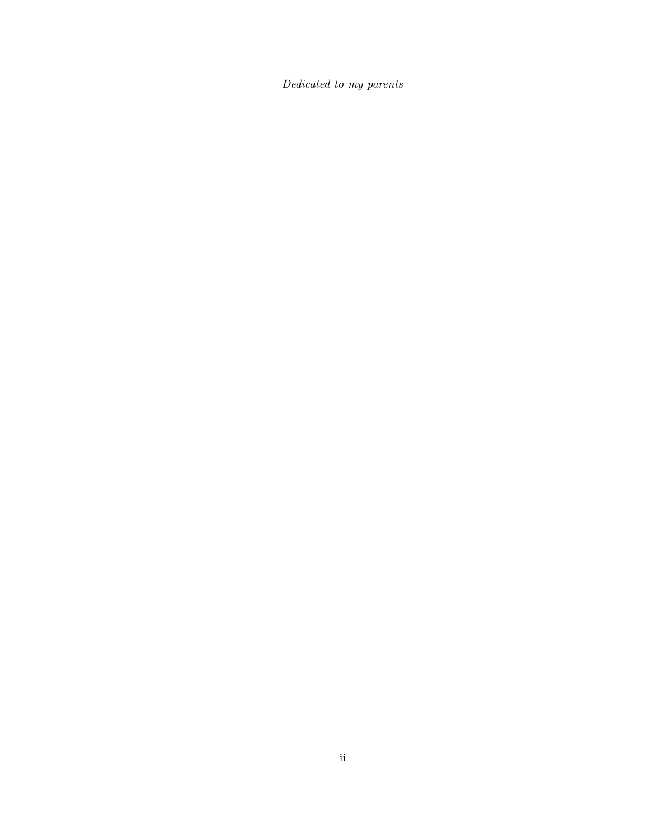Dedicated to my parents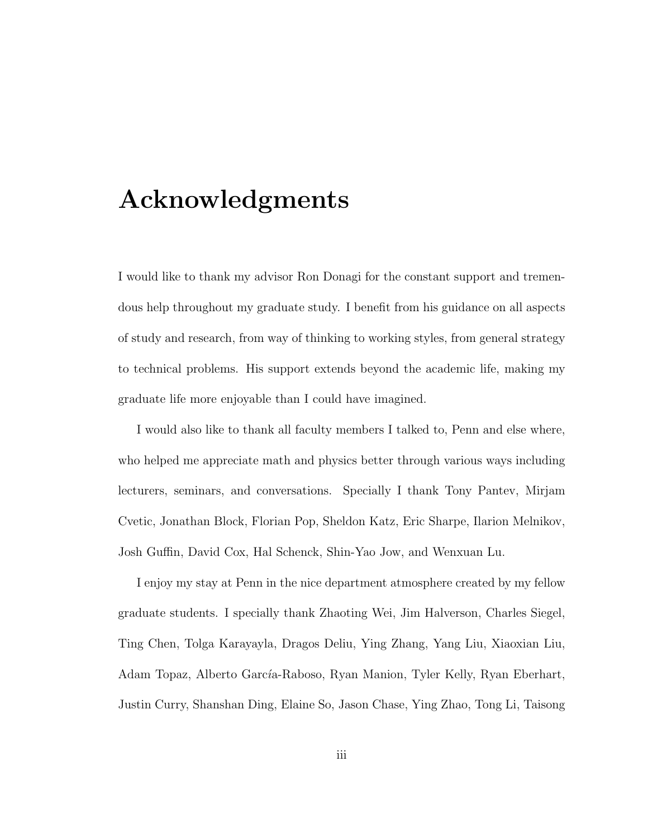### Acknowledgments

I would like to thank my advisor Ron Donagi for the constant support and tremendous help throughout my graduate study. I benefit from his guidance on all aspects of study and research, from way of thinking to working styles, from general strategy to technical problems. His support extends beyond the academic life, making my graduate life more enjoyable than I could have imagined.

I would also like to thank all faculty members I talked to, Penn and else where, who helped me appreciate math and physics better through various ways including lecturers, seminars, and conversations. Specially I thank Tony Pantev, Mirjam Cvetic, Jonathan Block, Florian Pop, Sheldon Katz, Eric Sharpe, Ilarion Melnikov, Josh Guffin, David Cox, Hal Schenck, Shin-Yao Jow, and Wenxuan Lu.

I enjoy my stay at Penn in the nice department atmosphere created by my fellow graduate students. I specially thank Zhaoting Wei, Jim Halverson, Charles Siegel, Ting Chen, Tolga Karayayla, Dragos Deliu, Ying Zhang, Yang Liu, Xiaoxian Liu, Adam Topaz, Alberto García-Raboso, Ryan Manion, Tyler Kelly, Ryan Eberhart, Justin Curry, Shanshan Ding, Elaine So, Jason Chase, Ying Zhao, Tong Li, Taisong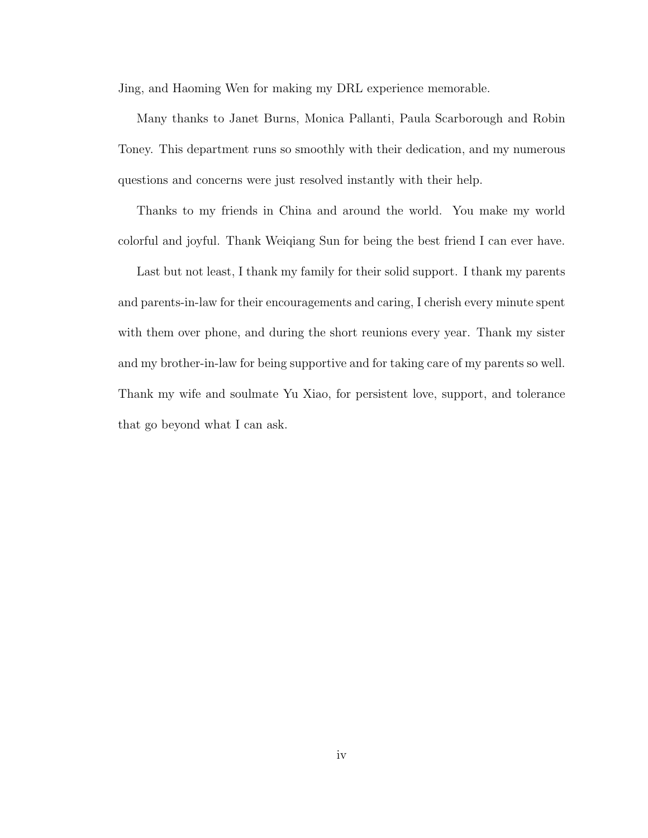Jing, and Haoming Wen for making my DRL experience memorable.

Many thanks to Janet Burns, Monica Pallanti, Paula Scarborough and Robin Toney. This department runs so smoothly with their dedication, and my numerous questions and concerns were just resolved instantly with their help.

Thanks to my friends in China and around the world. You make my world colorful and joyful. Thank Weiqiang Sun for being the best friend I can ever have.

Last but not least, I thank my family for their solid support. I thank my parents and parents-in-law for their encouragements and caring, I cherish every minute spent with them over phone, and during the short reunions every year. Thank my sister and my brother-in-law for being supportive and for taking care of my parents so well. Thank my wife and soulmate Yu Xiao, for persistent love, support, and tolerance that go beyond what I can ask.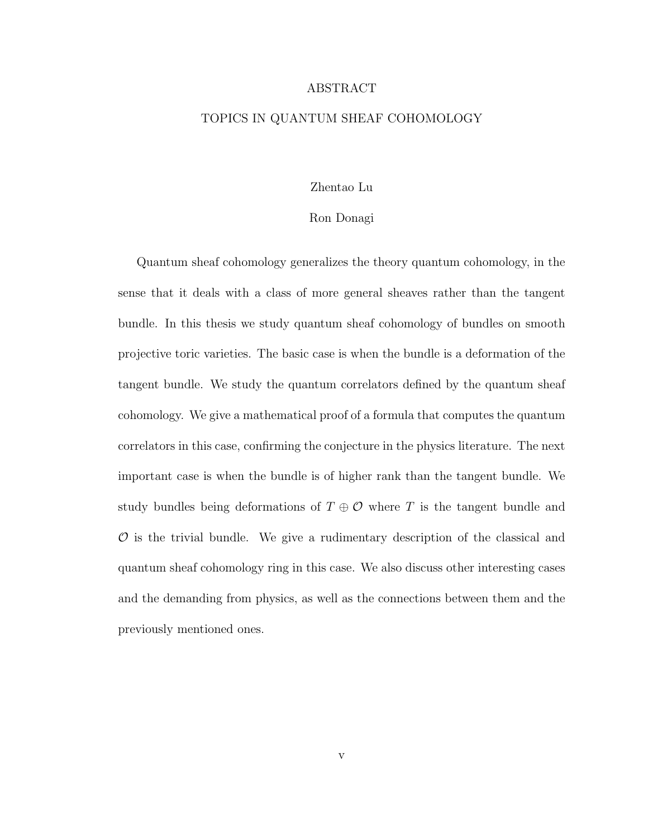#### ABSTRACT

#### TOPICS IN QUANTUM SHEAF COHOMOLOGY

#### Zhentao Lu

#### Ron Donagi

Quantum sheaf cohomology generalizes the theory quantum cohomology, in the sense that it deals with a class of more general sheaves rather than the tangent bundle. In this thesis we study quantum sheaf cohomology of bundles on smooth projective toric varieties. The basic case is when the bundle is a deformation of the tangent bundle. We study the quantum correlators defined by the quantum sheaf cohomology. We give a mathematical proof of a formula that computes the quantum correlators in this case, confirming the conjecture in the physics literature. The next important case is when the bundle is of higher rank than the tangent bundle. We study bundles being deformations of  $T \oplus \mathcal{O}$  where T is the tangent bundle and  $\mathcal O$  is the trivial bundle. We give a rudimentary description of the classical and quantum sheaf cohomology ring in this case. We also discuss other interesting cases and the demanding from physics, as well as the connections between them and the previously mentioned ones.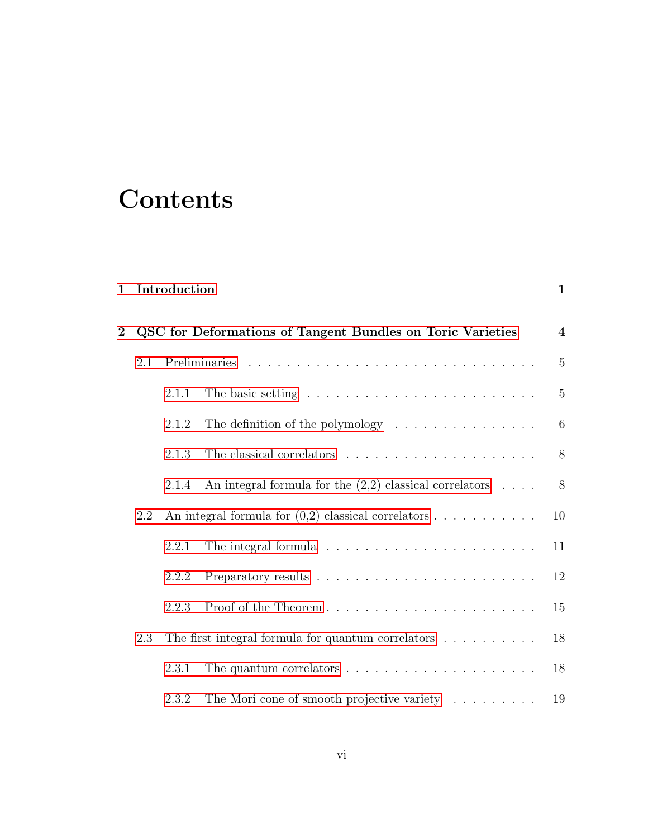## **Contents**

| $\mathbf{1}$ |     | Introduction |                                                                           | $\mathbf{1}$     |
|--------------|-----|--------------|---------------------------------------------------------------------------|------------------|
| $\mathbf{2}$ |     |              | QSC for Deformations of Tangent Bundles on Toric Varieties                | $\boldsymbol{4}$ |
|              | 2.1 |              |                                                                           | $\overline{5}$   |
|              |     | 2.1.1        |                                                                           | $\overline{5}$   |
|              |     | 2.1.2        | The definition of the polymology $\dots \dots \dots \dots \dots$          | 6                |
|              |     | 2.1.3        |                                                                           | 8                |
|              |     | 2.1.4        | An integral formula for the $(2,2)$ classical correlators $\dots$         | $8\,$            |
|              | 2.2 |              | An integral formula for $(0,2)$ classical correlators $\dots \dots \dots$ | 10               |
|              |     | 2.2.1        |                                                                           | 11               |
|              |     | 2.2.2        |                                                                           | 12               |
|              |     | 2.2.3        |                                                                           | 15               |
|              | 2.3 |              | The first integral formula for quantum correlators $\ldots \ldots \ldots$ | 18               |
|              |     | 2.3.1        | The quantum correlators $\dots \dots \dots \dots \dots \dots \dots \dots$ | 18               |
|              |     | 2.3.2        | The Mori cone of smooth projective variety                                | 19               |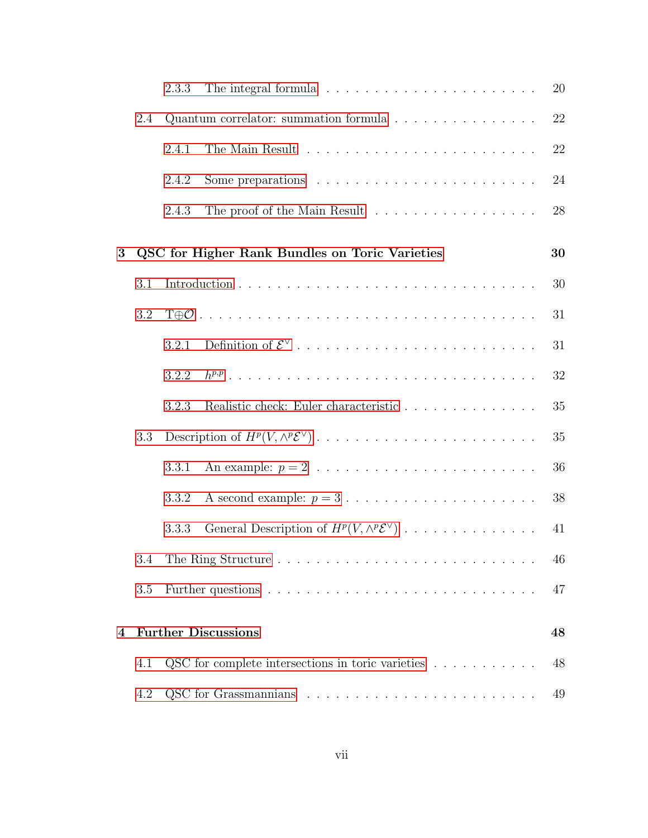|   |     | 2.3.3 |                                                                             | 20 |
|---|-----|-------|-----------------------------------------------------------------------------|----|
|   | 2.4 |       | Quantum correlator: summation formula                                       | 22 |
|   |     | 2.4.1 |                                                                             | 22 |
|   |     | 2.4.2 | Some preparations $\ldots \ldots \ldots \ldots \ldots \ldots \ldots \ldots$ | 24 |
|   |     | 2.4.3 | The proof of the Main Result                                                | 28 |
| 3 |     |       | QSC for Higher Rank Bundles on Toric Varieties                              | 30 |
|   | 3.1 |       |                                                                             | 30 |
|   | 3.2 |       |                                                                             | 31 |
|   |     | 3.2.1 |                                                                             | 31 |
|   |     | 3.2.2 |                                                                             | 32 |
|   |     | 3.2.3 | Realistic check: Euler characteristic                                       | 35 |
|   | 3.3 |       |                                                                             | 35 |
|   |     | 3.3.1 |                                                                             | 36 |
|   |     | 3.3.2 | A second example: $p = 3 \ldots \ldots \ldots \ldots \ldots \ldots \ldots$  | 38 |
|   |     | 3.3.3 | General Description of $H^p(V, \wedge^p {\mathcal{E}}^\vee)$                | 41 |
|   | 3.4 |       |                                                                             | 46 |
|   | 3.5 |       |                                                                             | 47 |
| 4 |     |       | <b>Further Discussions</b>                                                  | 48 |
|   | 4.1 |       | QSC for complete intersections in toric varieties $\ldots \ldots \ldots$    | 48 |
|   | 4.2 |       |                                                                             | 49 |
|   |     |       |                                                                             |    |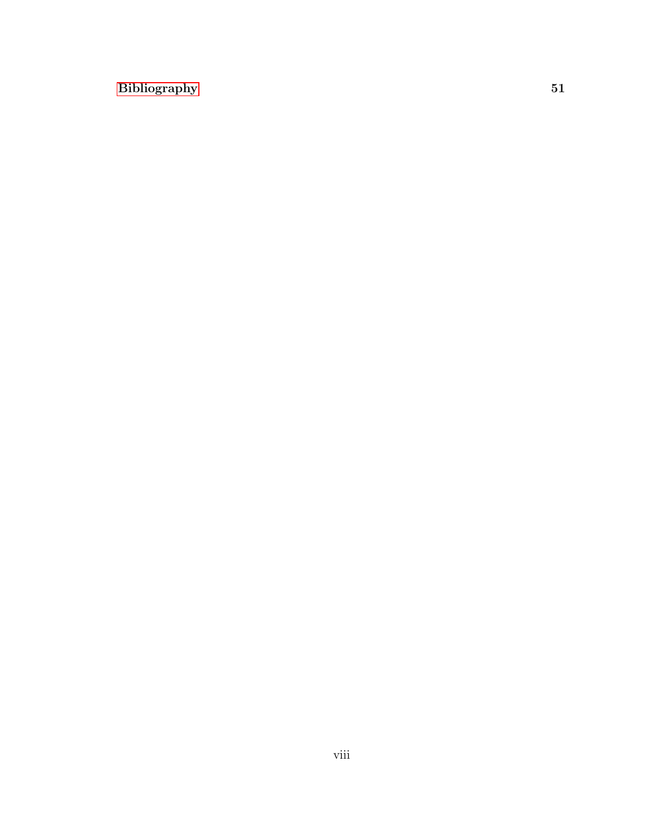#### [Bibliography](#page-58-0) 51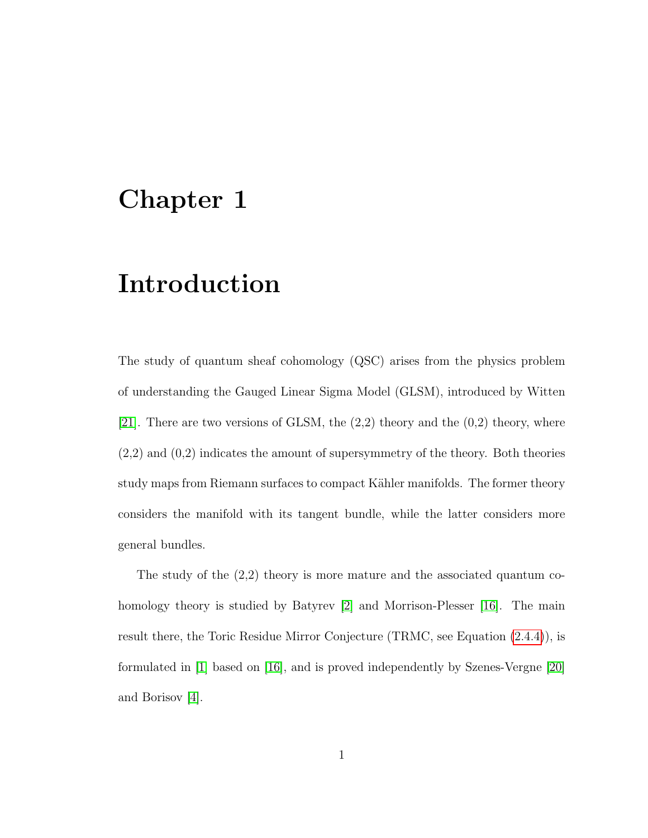### <span id="page-8-0"></span>Chapter 1

### Introduction

The study of quantum sheaf cohomology (QSC) arises from the physics problem of understanding the Gauged Linear Sigma Model (GLSM), introduced by Witten [\[21\]](#page-60-0). There are two versions of GLSM, the  $(2,2)$  theory and the  $(0,2)$  theory, where  $(2,2)$  and  $(0,2)$  indicates the amount of supersymmetry of the theory. Both theories study maps from Riemann surfaces to compact Kähler manifolds. The former theory considers the manifold with its tangent bundle, while the latter considers more general bundles.

The study of the (2,2) theory is more mature and the associated quantum co-homology theory is studied by Batyrev [\[2\]](#page-58-1) and Morrison-Plesser [\[16\]](#page-60-1). The main result there, the Toric Residue Mirror Conjecture (TRMC, see Equation [\(2.4.4\)](#page-30-0)), is formulated in [\[1\]](#page-58-2) based on [\[16\]](#page-60-1), and is proved independently by Szenes-Vergne [\[20\]](#page-60-2) and Borisov [\[4\]](#page-58-3).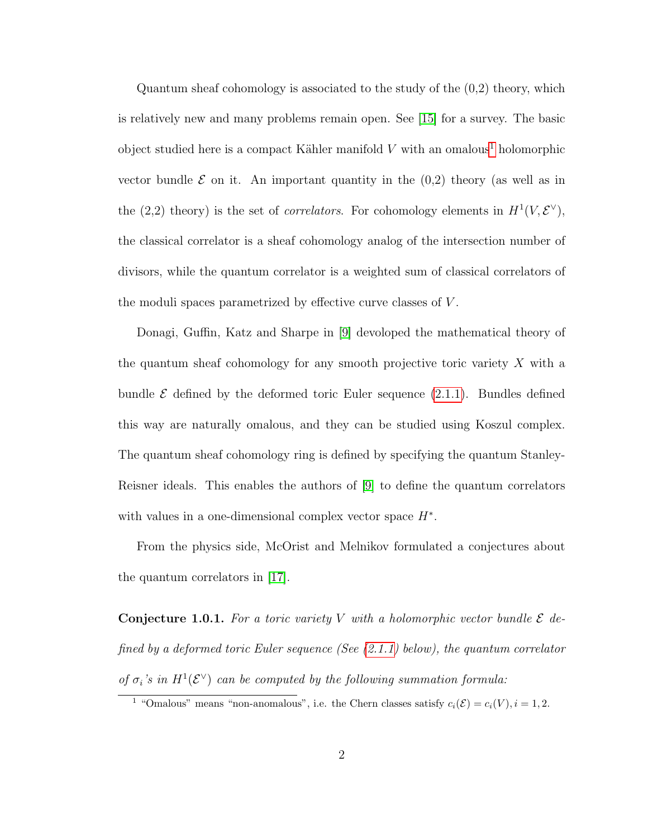Quantum sheaf cohomology is associated to the study of the (0,2) theory, which is relatively new and many problems remain open. See [\[15\]](#page-59-0) for a survey. The basic object studied here is a compact Kähler manifold V with an omalous<sup>[1](#page-9-0)</sup> holomorphic vector bundle  $\mathcal E$  on it. An important quantity in the  $(0,2)$  theory (as well as in the (2,2) theory) is the set of *correlators*. For cohomology elements in  $H^1(V, \mathcal{E}^{\vee}),$ the classical correlator is a sheaf cohomology analog of the intersection number of divisors, while the quantum correlator is a weighted sum of classical correlators of the moduli spaces parametrized by effective curve classes of V .

Donagi, Guffin, Katz and Sharpe in [\[9\]](#page-59-1) devoloped the mathematical theory of the quantum sheaf cohomology for any smooth projective toric variety X with a bundle  $\mathcal E$  defined by the deformed toric Euler sequence  $(2.1.1)$ . Bundles defined this way are naturally omalous, and they can be studied using Koszul complex. The quantum sheaf cohomology ring is defined by specifying the quantum Stanley-Reisner ideals. This enables the authors of [\[9\]](#page-59-1) to define the quantum correlators with values in a one-dimensional complex vector space  $H^*$ .

From the physics side, McOrist and Melnikov formulated a conjectures about the quantum correlators in [\[17\]](#page-60-3).

<span id="page-9-1"></span>**Conjecture 1.0.1.** For a toric variety V with a holomorphic vector bundle  $\mathcal{E}$  defined by a deformed toric Euler sequence (See  $(2.1.1)$  below), the quantum correlator of  $\sigma_i$ 's in  $H^1(\mathcal{E}^{\vee})$  can be computed by the following summation formula:

<span id="page-9-0"></span><sup>&</sup>lt;sup>1</sup> "Omalous" means "non-anomalous", i.e. the Chern classes satisfy  $c_i(\mathcal{E}) = c_i(V), i = 1, 2$ .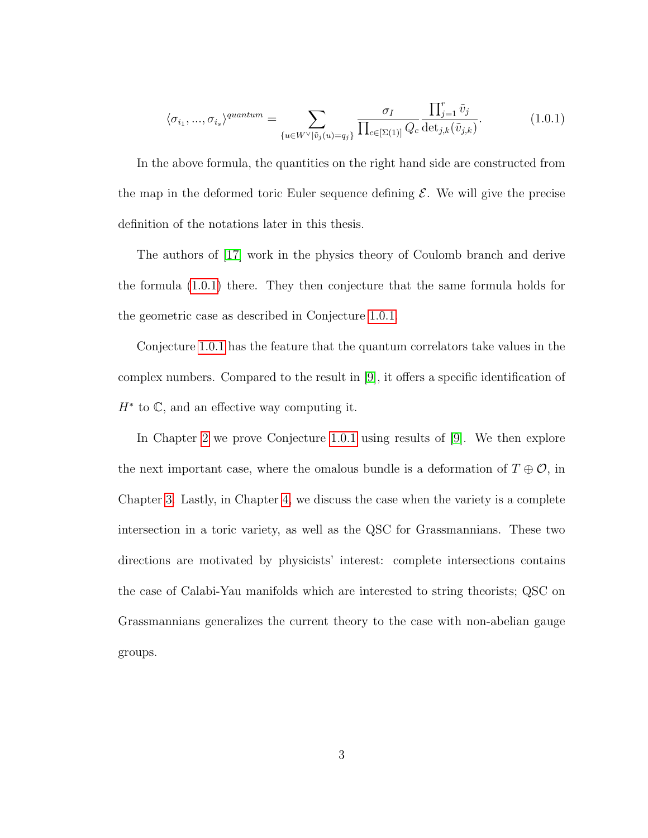<span id="page-10-0"></span>
$$
\langle \sigma_{i_1}, \dots, \sigma_{i_s} \rangle^{quantum} = \sum_{\{u \in W^\vee | \tilde{v}_j(u) = q_j\}} \frac{\sigma_I}{\prod_{c \in [\Sigma(1)]} Q_c} \frac{\prod_{j=1}^r \tilde{v}_j}{\det_{j,k}(\tilde{v}_{j,k})}.
$$
(1.0.1)

In the above formula, the quantities on the right hand side are constructed from the map in the deformed toric Euler sequence defining  $\mathcal{E}$ . We will give the precise definition of the notations later in this thesis.

The authors of [\[17\]](#page-60-3) work in the physics theory of Coulomb branch and derive the formula [\(1.0.1\)](#page-10-0) there. They then conjecture that the same formula holds for the geometric case as described in Conjecture [1.0.1.](#page-9-1)

Conjecture [1.0.1](#page-9-1) has the feature that the quantum correlators take values in the complex numbers. Compared to the result in [\[9\]](#page-59-1), it offers a specific identification of  $H^*$  to  $\mathbb{C}$ , and an effective way computing it.

In Chapter [2](#page-11-0) we prove Conjecture [1.0.1](#page-9-1) using results of [\[9\]](#page-59-1). We then explore the next important case, where the omalous bundle is a deformation of  $T \oplus \mathcal{O}$ , in Chapter [3.](#page-37-0) Lastly, in Chapter [4,](#page-55-0) we discuss the case when the variety is a complete intersection in a toric variety, as well as the QSC for Grassmannians. These two directions are motivated by physicists' interest: complete intersections contains the case of Calabi-Yau manifolds which are interested to string theorists; QSC on Grassmannians generalizes the current theory to the case with non-abelian gauge groups.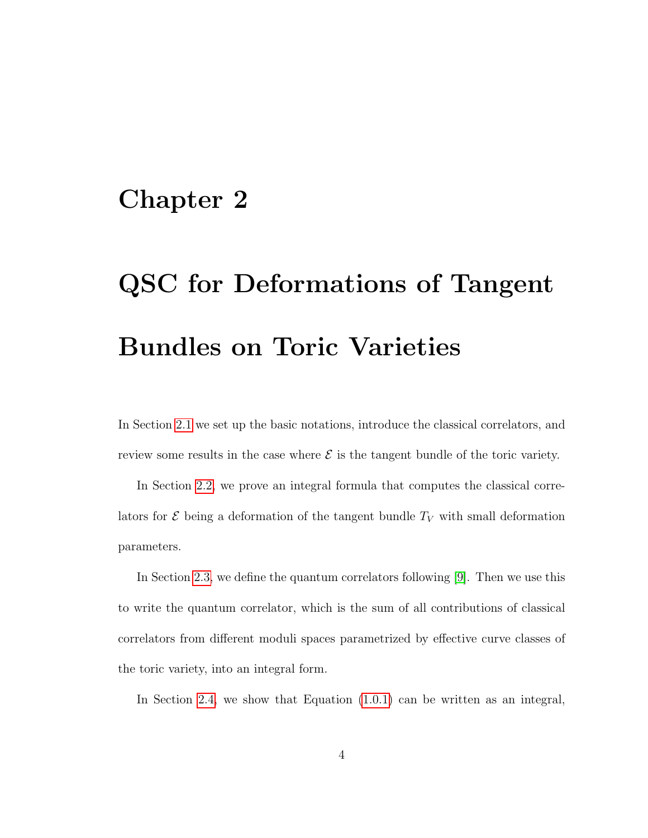### <span id="page-11-0"></span>Chapter 2

# QSC for Deformations of Tangent Bundles on Toric Varieties

In Section [2.1](#page-12-0) we set up the basic notations, introduce the classical correlators, and review some results in the case where  $\mathcal E$  is the tangent bundle of the toric variety.

In Section [2.2,](#page-17-0) we prove an integral formula that computes the classical correlators for  $\mathcal E$  being a deformation of the tangent bundle  $T_V$  with small deformation parameters.

In Section [2.3,](#page-25-0) we define the quantum correlators following [\[9\]](#page-59-1). Then we use this to write the quantum correlator, which is the sum of all contributions of classical correlators from different moduli spaces parametrized by effective curve classes of the toric variety, into an integral form.

In Section [2.4,](#page-29-0) we show that Equation [\(1.0.1\)](#page-10-0) can be written as an integral,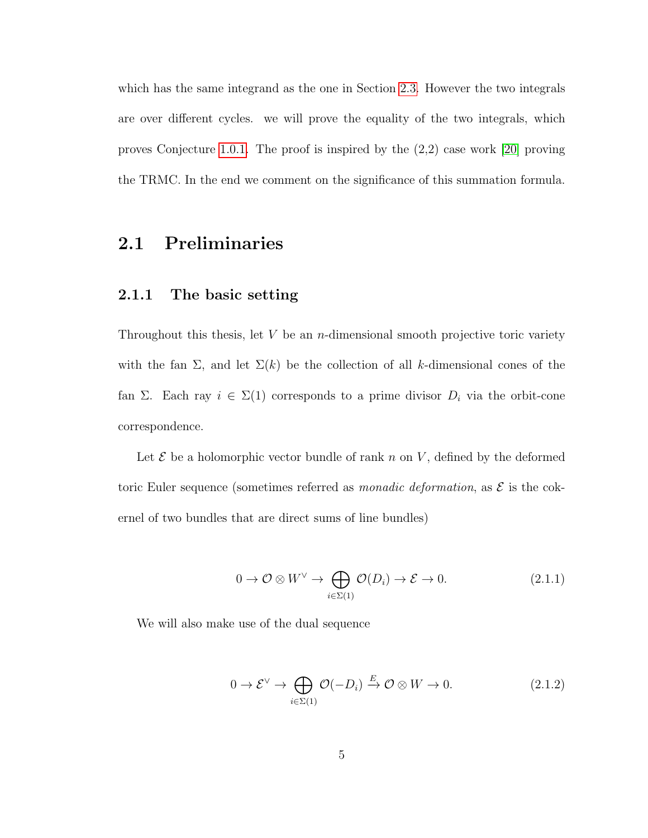which has the same integrand as the one in Section [2.3.](#page-25-0) However the two integrals are over different cycles. we will prove the equality of the two integrals, which proves Conjecture [1.0.1.](#page-9-1) The proof is inspired by the (2,2) case work [\[20\]](#page-60-2) proving the TRMC. In the end we comment on the significance of this summation formula.

#### <span id="page-12-1"></span><span id="page-12-0"></span>2.1 Preliminaries

#### 2.1.1 The basic setting

Throughout this thesis, let  $V$  be an *n*-dimensional smooth projective toric variety with the fan  $\Sigma$ , and let  $\Sigma(k)$  be the collection of all k-dimensional cones of the fan Σ. Each ray  $i \in \Sigma(1)$  corresponds to a prime divisor  $D_i$  via the orbit-cone correspondence.

Let  $\mathcal E$  be a holomorphic vector bundle of rank n on V, defined by the deformed toric Euler sequence (sometimes referred as *monadic deformation*, as  $\mathcal{E}$  is the cokernel of two bundles that are direct sums of line bundles)

<span id="page-12-2"></span>
$$
0 \to \mathcal{O} \otimes W^{\vee} \to \bigoplus_{i \in \Sigma(1)} \mathcal{O}(D_i) \to \mathcal{E} \to 0. \tag{2.1.1}
$$

We will also make use of the dual sequence

<span id="page-12-3"></span>
$$
0 \to \mathcal{E}^{\vee} \to \bigoplus_{i \in \Sigma(1)} \mathcal{O}(-D_i) \xrightarrow{E} \mathcal{O} \otimes W \to 0. \tag{2.1.2}
$$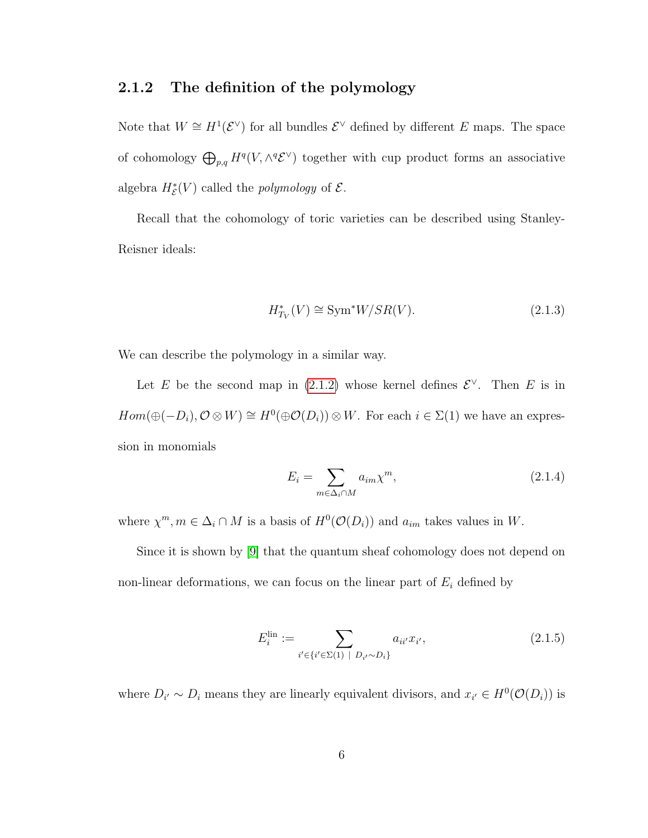#### <span id="page-13-0"></span>2.1.2 The definition of the polymology

Note that  $W \cong H^1(\mathcal{E}^{\vee})$  for all bundles  $\mathcal{E}^{\vee}$  defined by different E maps. The space of cohomology  $\bigoplus_{p,q} H^q(V, \wedge^q {\mathcal{E}}^\vee)$  together with cup product forms an associative algebra  $H^*_{\mathcal{E}}(V)$  called the *polymology* of  $\mathcal{E}$ .

Recall that the cohomology of toric varieties can be described using Stanley-Reisner ideals:

$$
H_{T_V}^*(V) \cong \text{Sym}^* W / SR(V). \tag{2.1.3}
$$

We can describe the polymology in a similar way.

Let E be the second map in [\(2.1.2\)](#page-12-3) whose kernel defines  $\mathcal{E}^{\vee}$ . Then E is in  $Hom(\oplus(-D_i), \mathcal{O}\otimes W)\cong H^0(\oplus \mathcal{O}(D_i))\otimes W$ . For each  $i\in \Sigma(1)$  we have an expression in monomials

$$
E_i = \sum_{m \in \Delta_i \cap M} a_{im} \chi^m,\tag{2.1.4}
$$

where  $\chi^m, m \in \Delta_i \cap M$  is a basis of  $H^0(\mathcal{O}(D_i))$  and  $a_{im}$  takes values in W.

Since it is shown by [\[9\]](#page-59-1) that the quantum sheaf cohomology does not depend on non-linear deformations, we can focus on the linear part of  $E_i$  defined by

$$
E_i^{\text{lin}} := \sum_{i' \in \{i' \in \Sigma(1) \mid D_{i'} \sim D_i\}} a_{ii'} x_{i'}, \tag{2.1.5}
$$

where  $D_{i'} \sim D_i$  means they are linearly equivalent divisors, and  $x_{i'} \in H^0(\mathcal{O}(D_i))$  is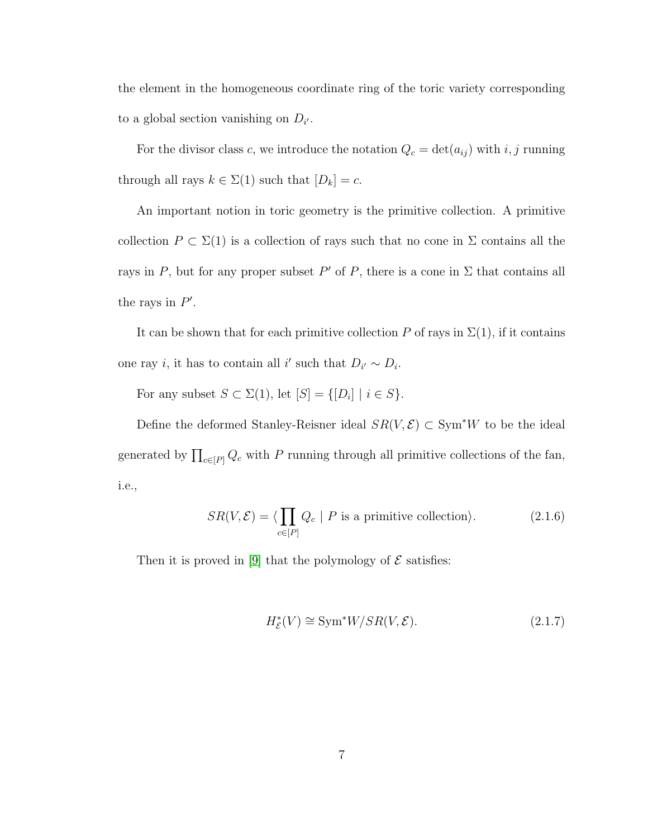the element in the homogeneous coordinate ring of the toric variety corresponding to a global section vanishing on  $D_{i'}$ .

For the divisor class c, we introduce the notation  $Q_c = \det(a_{ij})$  with i, j running through all rays  $k \in \Sigma(1)$  such that  $[D_k] = c$ .

An important notion in toric geometry is the primitive collection. A primitive collection  $P \subset \Sigma(1)$  is a collection of rays such that no cone in  $\Sigma$  contains all the rays in P, but for any proper subset P' of P, there is a cone in  $\Sigma$  that contains all the rays in  $P'$ .

It can be shown that for each primitive collection P of rays in  $\Sigma(1)$ , if it contains one ray *i*, it has to contain all *i'* such that  $D_{i'} \sim D_i$ .

For any subset  $S \subset \Sigma(1)$ , let  $[S] = \{[D_i] \mid i \in S\}.$ 

Define the deformed Stanley-Reisner ideal  $SR(V, \mathcal{E}) \subset Sym^*W$  to be the ideal generated by  $\prod_{c \in [P]} Q_c$  with P running through all primitive collections of the fan, i.e.,

<span id="page-14-0"></span>
$$
SR(V, \mathcal{E}) = \langle \prod_{c \in [P]} Q_c \mid P \text{ is a primitive collection} \rangle. \tag{2.1.6}
$$

Then it is proved in [\[9\]](#page-59-1) that the polymology of  $\mathcal E$  satisfies:

$$
H_{\mathcal{E}}^*(V) \cong \text{Sym}^* W / SR(V, \mathcal{E}).\tag{2.1.7}
$$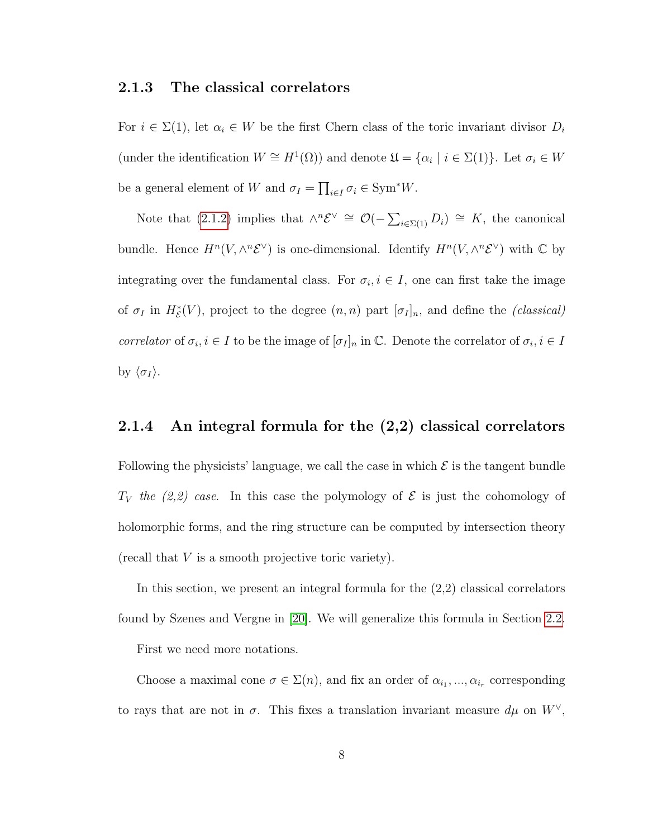#### <span id="page-15-0"></span>2.1.3 The classical correlators

For  $i \in \Sigma(1)$ , let  $\alpha_i \in W$  be the first Chern class of the toric invariant divisor  $D_i$ (under the identification  $W \cong H^1(\Omega)$ ) and denote  $\mathfrak{U} = {\alpha_i \mid i \in \Sigma(1)}$ . Let  $\sigma_i \in W$ be a general element of W and  $\sigma_I = \prod_{i \in I} \sigma_i \in \text{Sym}^* W$ .

Note that [\(2.1.2\)](#page-12-3) implies that  $\wedge^n \mathcal{E}^\vee \cong \mathcal{O}(-\sum_{i\in\Sigma(1)} D_i) \cong K$ , the canonical bundle. Hence  $H^n(V, \wedge^n \mathcal{E}^\vee)$  is one-dimensional. Identify  $H^n(V, \wedge^n \mathcal{E}^\vee)$  with  $\mathbb C$  by integrating over the fundamental class. For  $\sigma_i, i \in I$ , one can first take the image of  $\sigma_I$  in  $H^*_{\mathcal{E}}(V)$ , project to the degree  $(n, n)$  part  $[\sigma_I]_n$ , and define the *(classical)* correlator of  $\sigma_i, i \in I$  to be the image of  $[\sigma_I]_n$  in  $\mathbb{C}$ . Denote the correlator of  $\sigma_i, i \in I$ by  $\langle \sigma_I \rangle$ .

#### <span id="page-15-1"></span>2.1.4 An integral formula for the (2,2) classical correlators

Following the physicists' language, we call the case in which  $\mathcal E$  is the tangent bundle  $T_V$  the (2,2) case. In this case the polymology of  $\mathcal E$  is just the cohomology of holomorphic forms, and the ring structure can be computed by intersection theory (recall that V is a smooth projective toric variety).

In this section, we present an integral formula for the  $(2,2)$  classical correlators found by Szenes and Vergne in [\[20\]](#page-60-2). We will generalize this formula in Section [2.2.](#page-17-0)

First we need more notations.

Choose a maximal cone  $\sigma \in \Sigma(n)$ , and fix an order of  $\alpha_{i_1},...,\alpha_{i_r}$  corresponding to rays that are not in  $\sigma$ . This fixes a translation invariant measure  $d\mu$  on  $W^{\vee}$ ,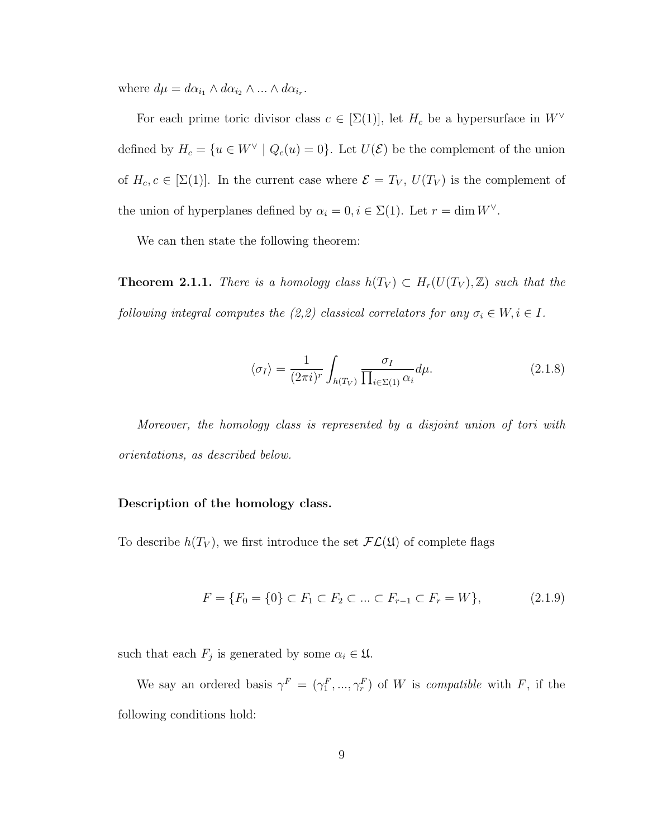where  $d\mu = d\alpha_{i_1} \wedge d\alpha_{i_2} \wedge ... \wedge d\alpha_{i_r}$ .

For each prime toric divisor class  $c \in [\Sigma(1)]$ , let  $H_c$  be a hypersurface in  $W^{\vee}$ defined by  $H_c = \{u \in W^{\vee} \mid Q_c(u) = 0\}$ . Let  $U(\mathcal{E})$  be the complement of the union of  $H_c$ ,  $c \in [\Sigma(1)]$ . In the current case where  $\mathcal{E} = T_V$ ,  $U(T_V)$  is the complement of the union of hyperplanes defined by  $\alpha_i = 0, i \in \Sigma(1)$ . Let  $r = \dim W^{\vee}$ .

We can then state the following theorem:

<span id="page-16-0"></span>**Theorem 2.1.1.** There is a homology class  $h(T_V) \subset H_r(U(T_V), \mathbb{Z})$  such that the following integral computes the (2,2) classical correlators for any  $\sigma_i \in W, i \in I$ .

$$
\langle \sigma_I \rangle = \frac{1}{(2\pi i)^r} \int_{h(T_V)} \frac{\sigma_I}{\prod_{i \in \Sigma(1)} \alpha_i} d\mu.
$$
 (2.1.8)

Moreover, the homology class is represented by a disjoint union of tori with orientations, as described below.

#### Description of the homology class.

To describe  $h(T_V)$ , we first introduce the set  $FL(\mathfrak{U})$  of complete flags

$$
F = \{F_0 = \{0\} \subset F_1 \subset F_2 \subset \dots \subset F_{r-1} \subset F_r = W\},\tag{2.1.9}
$$

such that each  $F_j$  is generated by some  $\alpha_i \in \mathfrak{U}$ .

We say an ordered basis  $\gamma^F = (\gamma_1^F, ..., \gamma_r^F)$  of W is *compatible* with F, if the following conditions hold: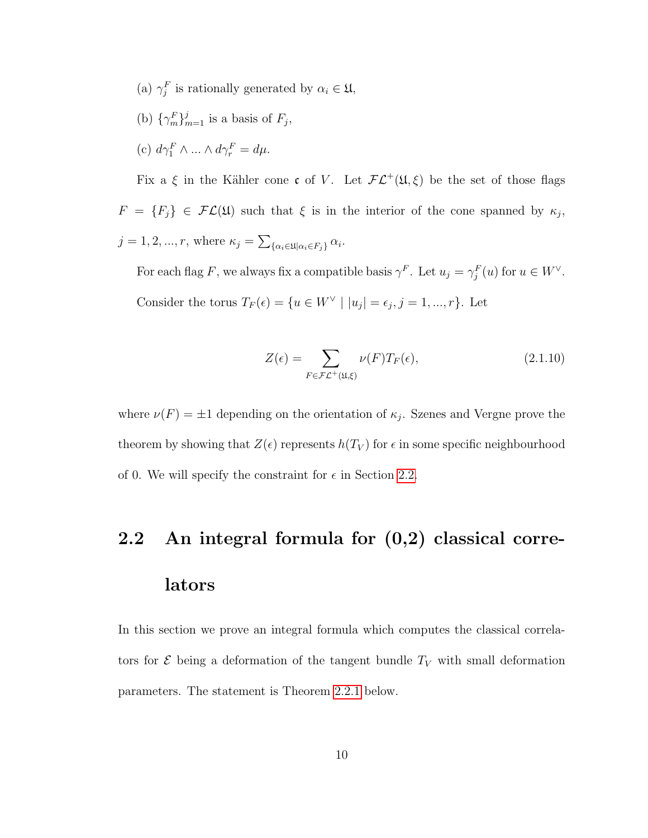- (a)  $\gamma_j^F$  is rationally generated by  $\alpha_i \in \mathfrak{U}$ ,
- (b)  $\{\gamma_m^F\}_{m=1}^j$  is a basis of  $F_j$ ,

(c) 
$$
d\gamma_1^F \wedge \dots \wedge d\gamma_r^F = d\mu
$$
.

Fix a  $\xi$  in the Kähler cone c of V. Let  $FL^+(\mathfrak{U},\xi)$  be the set of those flags  $F = \{F_j\} \in \mathcal{FL}(\mathfrak{U})$  such that  $\xi$  is in the interior of the cone spanned by  $\kappa_j$ ,  $j = 1, 2, ..., r$ , where  $\kappa_j = \sum_{\{\alpha_i \in \mathfrak{U} | \alpha_i \in F_j\}} \alpha_i$ .

For each flag F, we always fix a compatible basis  $\gamma^F$ . Let  $u_j = \gamma_j^F(u)$  for  $u \in W^{\vee}$ . Consider the torus  $T_F(\epsilon) = \{u \in W^{\vee} \mid |u_j| = \epsilon_j, j = 1, ..., r\}$ . Let

<span id="page-17-1"></span>
$$
Z(\epsilon) = \sum_{F \in \mathcal{FL}^+(\mathfrak{U}, \xi)} \nu(F) T_F(\epsilon), \tag{2.1.10}
$$

where  $\nu(F) = \pm 1$  depending on the orientation of  $\kappa_j$ . Szenes and Vergne prove the theorem by showing that  $Z(\epsilon)$  represents  $h(T_V)$  for  $\epsilon$  in some specific neighbourhood of 0. We will specify the constraint for  $\epsilon$  in Section [2.2.](#page-17-0)

# <span id="page-17-0"></span>2.2 An integral formula for (0,2) classical correlators

In this section we prove an integral formula which computes the classical correlators for  $\mathcal E$  being a deformation of the tangent bundle  $T_V$  with small deformation parameters. The statement is Theorem [2.2.1](#page-18-1) below.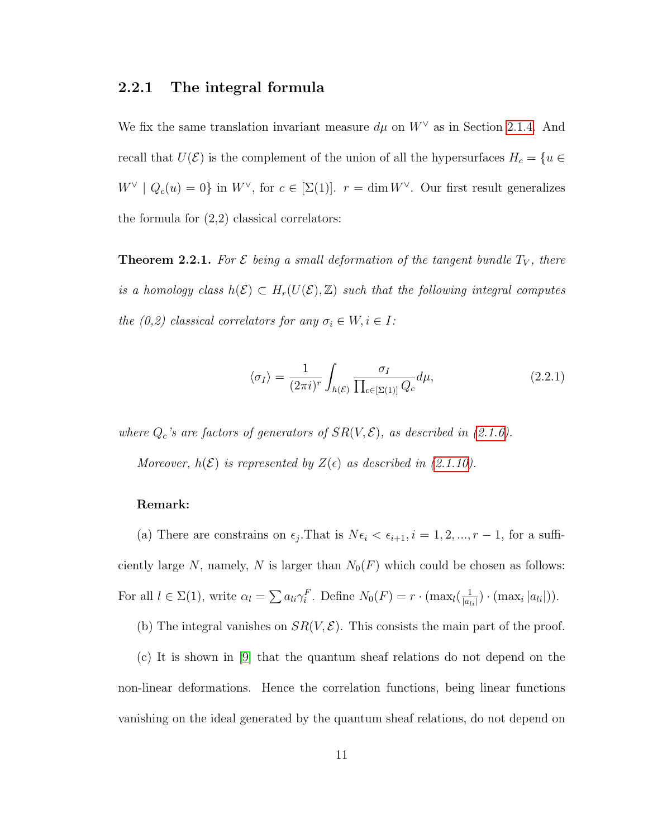#### <span id="page-18-0"></span>2.2.1 The integral formula

We fix the same translation invariant measure  $d\mu$  on  $W^{\vee}$  as in Section [2.1.4.](#page-15-1) And recall that  $U(\mathcal{E})$  is the complement of the union of all the hypersurfaces  $H_c = \{u \in$  $W^{\vee}$  |  $Q_c(u) = 0$ } in  $W^{\vee}$ , for  $c \in [\Sigma(1)]$ .  $r = \dim W^{\vee}$ . Our first result generalizes the formula for  $(2,2)$  classical correlators:

<span id="page-18-1"></span>**Theorem 2.2.1.** For  $\mathcal E$  being a small deformation of the tangent bundle  $T_V$ , there is a homology class  $h(\mathcal{E}) \subset H_r(U(\mathcal{E}), \mathbb{Z})$  such that the following integral computes the (0,2) classical correlators for any  $\sigma_i \in W, i \in I$ :

$$
\langle \sigma_I \rangle = \frac{1}{(2\pi i)^r} \int_{h(\mathcal{E})} \frac{\sigma_I}{\prod_{c \in [\Sigma(1)]} Q_c} d\mu,
$$
\n(2.2.1)

where  $Q_c$ 's are factors of generators of  $SR(V, \mathcal{E})$ , as described in [\(2.1.6\)](#page-14-0).

Moreover,  $h(\mathcal{E})$  is represented by  $Z(\epsilon)$  as described in [\(2.1.10\)](#page-17-1).

#### Remark:

(a) There are constrains on  $\epsilon_j$ . That is  $N\epsilon_i < \epsilon_{i+1}, i = 1, 2, ..., r-1$ , for a sufficiently large N, namely, N is larger than  $N_0(F)$  which could be chosen as follows: For all  $l \in \Sigma(1)$ , write  $\alpha_l = \sum a_{li} \gamma_i^F$ . Define  $N_0(F) = r \cdot (\max_l(\frac{1}{|a_l|})$  $\frac{1}{|a_{li}|}) \cdot (\max_i |a_{li}|)).$ 

(b) The integral vanishes on  $SR(V, \mathcal{E})$ . This consists the main part of the proof.

(c) It is shown in [\[9\]](#page-59-1) that the quantum sheaf relations do not depend on the non-linear deformations. Hence the correlation functions, being linear functions vanishing on the ideal generated by the quantum sheaf relations, do not depend on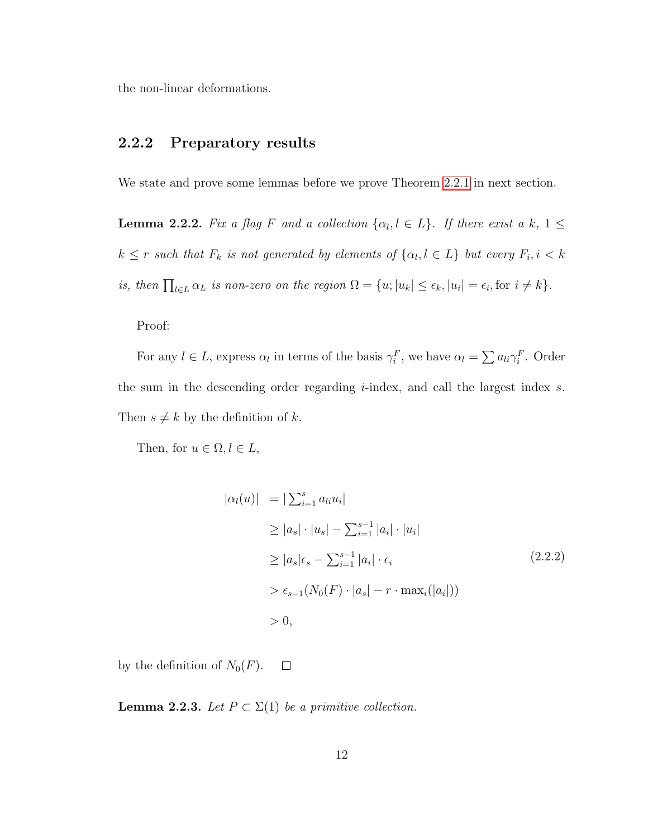the non-linear deformations.

#### <span id="page-19-0"></span>2.2.2 Preparatory results

<span id="page-19-1"></span>We state and prove some lemmas before we prove Theorem [2.2.1](#page-18-1) in next section.

**Lemma 2.2.2.** Fix a flag F and a collection  $\{\alpha_l, l \in L\}$ . If there exist a k,  $1 \leq$  $k \leq r$  such that  $F_k$  is not generated by elements of  $\{\alpha_l, l \in L\}$  but every  $F_i, i < k$ is, then  $\prod_{l \in L} \alpha_L$  is non-zero on the region  $\Omega = \{u; |u_k| \leq \epsilon_k, |u_i| = \epsilon_i, \text{for } i \neq k\}.$ 

Proof:

For any  $l \in L$ , express  $\alpha_l$  in terms of the basis  $\gamma_i^F$ , we have  $\alpha_l = \sum a_{li} \gamma_i^F$ . Order the sum in the descending order regarding  $i$ -index, and call the largest index  $s$ . Then  $s \neq k$  by the definition of k.

Then, for  $u \in \Omega, l \in L$ ,

$$
|\alpha_{l}(u)| = |\sum_{i=1}^{s} a_{li} u_{i}|
$$
  
\n
$$
\geq |a_{s}| \cdot |u_{s}| - \sum_{i=1}^{s-1} |a_{i}| \cdot |u_{i}|
$$
  
\n
$$
\geq |a_{s}| \epsilon_{s} - \sum_{i=1}^{s-1} |a_{i}| \cdot \epsilon_{i}
$$
  
\n
$$
> \epsilon_{s-1}(N_{0}(F) \cdot |a_{s}| - r \cdot \max_{i}(|a_{i}|))
$$
  
\n
$$
> 0,
$$
 (2.2.2)

<span id="page-19-2"></span>by the definition of  $N_0(F)$ .  $\Box$ 

**Lemma 2.2.3.** Let  $P \subset \Sigma(1)$  be a primitive collection.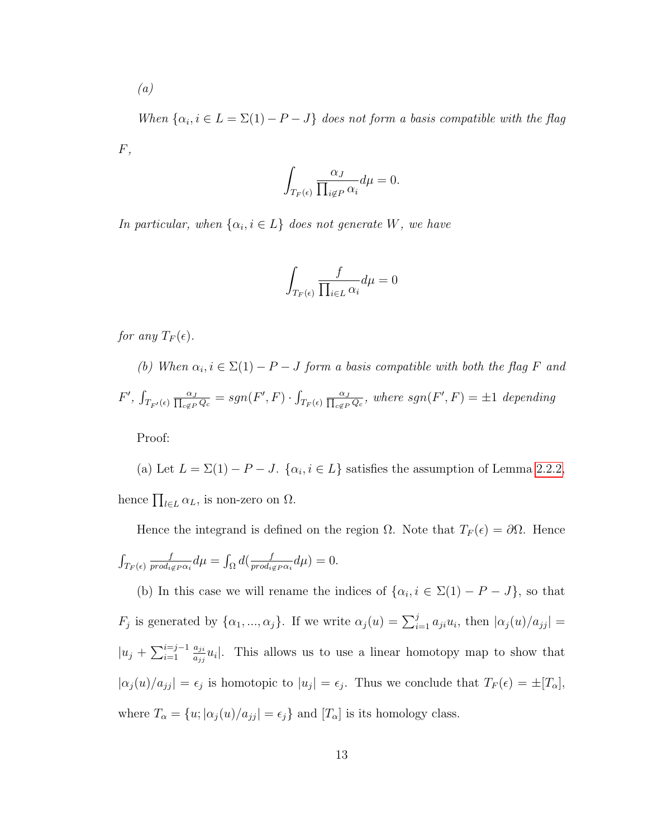(a)

When  $\{\alpha_i, i \in L = \Sigma(1) - P - J\}$  does not form a basis compatible with the flag  $F,$ 

$$
\int_{T_F(\epsilon)} \frac{\alpha_J}{\prod_{i \notin P} \alpha_i} d\mu = 0.
$$

In particular, when  $\{\alpha_i, i \in L\}$  does not generate W, we have

$$
\int_{T_F(\epsilon)} \frac{f}{\prod_{i \in L} \alpha_i} d\mu = 0
$$

for any  $T_F(\epsilon)$ .

(b) When  $\alpha_i, i \in \Sigma(1) - P - J$  form a basis compatible with both the flag F and  $F', \int_{T_{F'}(\epsilon)} \frac{\alpha_J}{\prod_{c \notin P} Q_c} = sgn(F', F) \cdot \int_{T_F(\epsilon)} \frac{\alpha_J}{\prod_{c \notin P} Q_c}$ , where  $sgn(F', F) = \pm 1$  depending

Proof:

(a) Let  $L = \Sigma(1) - P - J$ .  $\{\alpha_i, i \in L\}$  satisfies the assumption of Lemma [2.2.2,](#page-19-1) hence  $\prod_{l\in L} \alpha_L$ , is non-zero on  $\Omega$ .

Hence the integrand is defined on the region  $\Omega$ . Note that  $T_F(\epsilon) = \partial \Omega$ . Hence  $\int_{T_F(\epsilon)}$ f  $\frac{f}{\text{prod}_{i\notin P}\alpha_i}d\mu=\int_{\Omega}d(\frac{f}{\text{prod}_{i\notin P}\alpha_i})$  $\frac{f}{prod_{i\notin P}\alpha_i}d\mu)=0.$ 

(b) In this case we will rename the indices of  $\{\alpha_i, i \in \Sigma(1) - P - J\}$ , so that  $F_j$  is generated by  $\{\alpha_1, ..., \alpha_j\}$ . If we write  $\alpha_j(u) = \sum_{i=1}^j a_{ji}u_i$ , then  $|\alpha_j(u)/a_{jj}| =$  $|u_j + \sum_{i=1}^{i=j-1}$ aji  $\frac{a_{ji}}{a_{jj}}u_i$ . This allows us to use a linear homotopy map to show that  $|\alpha_j(u)/a_{jj}| = \epsilon_j$  is homotopic to  $|u_j| = \epsilon_j$ . Thus we conclude that  $T_F(\epsilon) = \pm [T_\alpha],$ where  $T_{\alpha} = \{u; |\alpha_j(u)/a_{jj}| = \epsilon_j\}$  and  $[T_{\alpha}]$  is its homology class.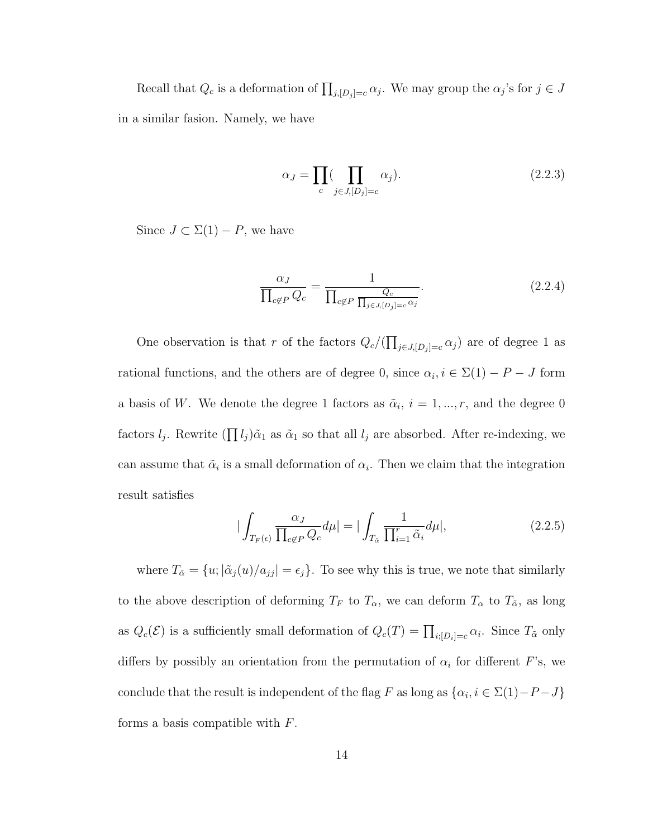Recall that  $Q_c$  is a deformation of  $\prod_{j,[D_j]=c} \alpha_j$ . We may group the  $\alpha_j$ 's for  $j \in J$ in a similar fasion. Namely, we have

$$
\alpha_J = \prod_c (\prod_{j \in J, [D_j] = c} \alpha_j). \tag{2.2.3}
$$

Since  $J \subset \Sigma(1) - P$ , we have

$$
\frac{\alpha_J}{\prod_{c \notin P} Q_c} = \frac{1}{\prod_{c \notin P} \frac{Q_c}{\prod_{j \in J, [D_j] = c} \alpha_j}}.
$$
\n(2.2.4)

One observation is that r of the factors  $Q_c/(\prod_{j\in J, [D_j]=c} \alpha_j)$  are of degree 1 as rational functions, and the others are of degree 0, since  $\alpha_i, i \in \Sigma(1) - P - J$  form a basis of W. We denote the degree 1 factors as  $\tilde{\alpha}_i$ ,  $i = 1, ..., r$ , and the degree 0 factors  $l_j$ . Rewrite  $(\prod l_j)\tilde{\alpha}_1$  as  $\tilde{\alpha}_1$  so that all  $l_j$  are absorbed. After re-indexing, we can assume that  $\tilde{\alpha}_i$  is a small deformation of  $\alpha_i$ . Then we claim that the integration result satisfies

$$
|\int_{T_F(\epsilon)} \frac{\alpha_J}{\prod_{c \notin P} Q_c} d\mu| = |\int_{T_{\tilde{\alpha}}} \frac{1}{\prod_{i=1}^r \tilde{\alpha}_i} d\mu|, \tag{2.2.5}
$$

where  $T_{\tilde{\alpha}} = \{u; |\tilde{\alpha}_j(u)/a_{jj}| = \epsilon_j\}$ . To see why this is true, we note that similarly to the above description of deforming  $T_F$  to  $T_\alpha$ , we can deform  $T_\alpha$  to  $T_{\tilde{\alpha}}$ , as long as  $Q_c(\mathcal{E})$  is a sufficiently small deformation of  $Q_c(T) = \prod_{i:[D_i]=c} \alpha_i$ . Since  $T_{\tilde{\alpha}}$  only differs by possibly an orientation from the permutation of  $\alpha_i$  for different F's, we conclude that the result is independent of the flag F as long as  $\{\alpha_i, i \in \Sigma(1) - P - J\}$ forms a basis compatible with  $F$ .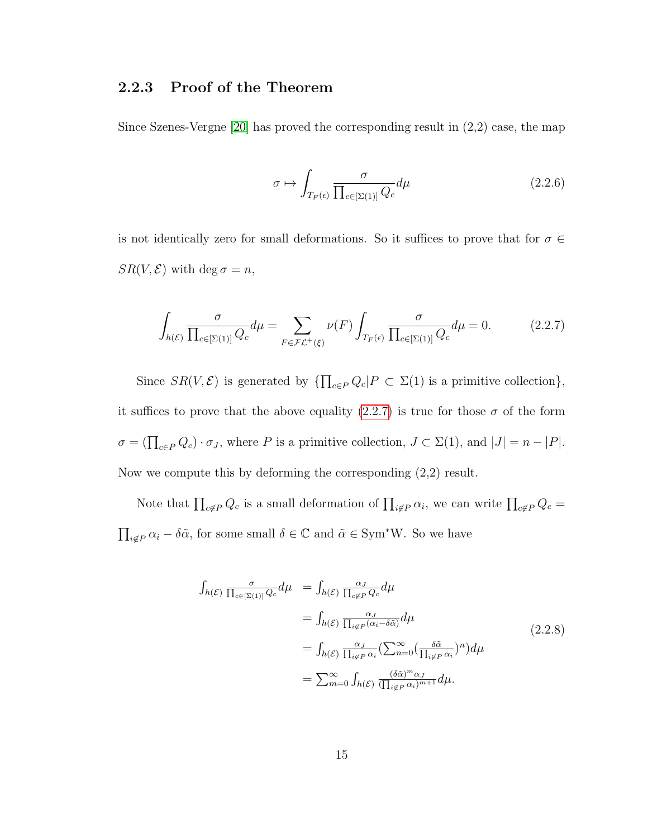#### <span id="page-22-0"></span>2.2.3 Proof of the Theorem

Since Szenes-Vergne [\[20\]](#page-60-2) has proved the corresponding result in (2,2) case, the map

$$
\sigma \mapsto \int_{T_F(\epsilon)} \frac{\sigma}{\prod_{c \in [\Sigma(1)]} Q_c} d\mu \tag{2.2.6}
$$

is not identically zero for small deformations. So it suffices to prove that for  $\sigma \in$  $SR(V, \mathcal{E})$  with deg  $\sigma = n$ ,

<span id="page-22-1"></span>
$$
\int_{h(\mathcal{E})} \frac{\sigma}{\prod_{c \in [\Sigma(1)]} Q_c} d\mu = \sum_{F \in \mathcal{FL}^+(\xi)} \nu(F) \int_{T_F(\epsilon)} \frac{\sigma}{\prod_{c \in [\Sigma(1)]} Q_c} d\mu = 0.
$$
\n(2.2.7)

Since  $SR(V,\mathcal{E})$  is generated by  $\{\prod_{c \in P} Q_c | P \subset \Sigma(1)$  is a primitive collection $\},$ it suffices to prove that the above equality [\(2.2.7\)](#page-22-1) is true for those  $\sigma$  of the form  $\sigma = (\prod_{c \in P} Q_c) \cdot \sigma_J$ , where P is a primitive collection,  $J \subset \Sigma(1)$ , and  $|J| = n - |P|$ . Now we compute this by deforming the corresponding (2,2) result.

Note that  $\prod_{c \notin P} Q_c$  is a small deformation of  $\prod_{i \notin P} \alpha_i$ , we can write  $\prod_{c \notin P} Q_c =$  $\prod_{i \notin P} \alpha_i - \delta \tilde{\alpha}$ , for some small  $\delta \in \mathbb{C}$  and  $\tilde{\alpha} \in \text{Sym}^*W$ . So we have

<span id="page-22-2"></span>
$$
\int_{h(\mathcal{E})} \frac{\sigma}{\prod_{c \in [\Sigma(1)]} Q_c} d\mu = \int_{h(\mathcal{E})} \frac{\alpha_J}{\prod_{c \notin P} Q_c} d\mu
$$
\n
$$
= \int_{h(\mathcal{E})} \frac{\alpha_J}{\prod_{i \notin P} (\alpha_i - \delta \tilde{\alpha})} d\mu
$$
\n
$$
= \int_{h(\mathcal{E})} \frac{\alpha_J}{\prod_{i \notin P} \alpha_i} (\sum_{n=0}^{\infty} (\frac{\delta \tilde{\alpha}}{\prod_{i \notin P} \alpha_i})^n) d\mu
$$
\n
$$
= \sum_{m=0}^{\infty} \int_{h(\mathcal{E})} \frac{(\delta \tilde{\alpha})^m \alpha_J}{(\prod_{i \notin P} \alpha_i)^{m+1}} d\mu.
$$
\n(2.2.8)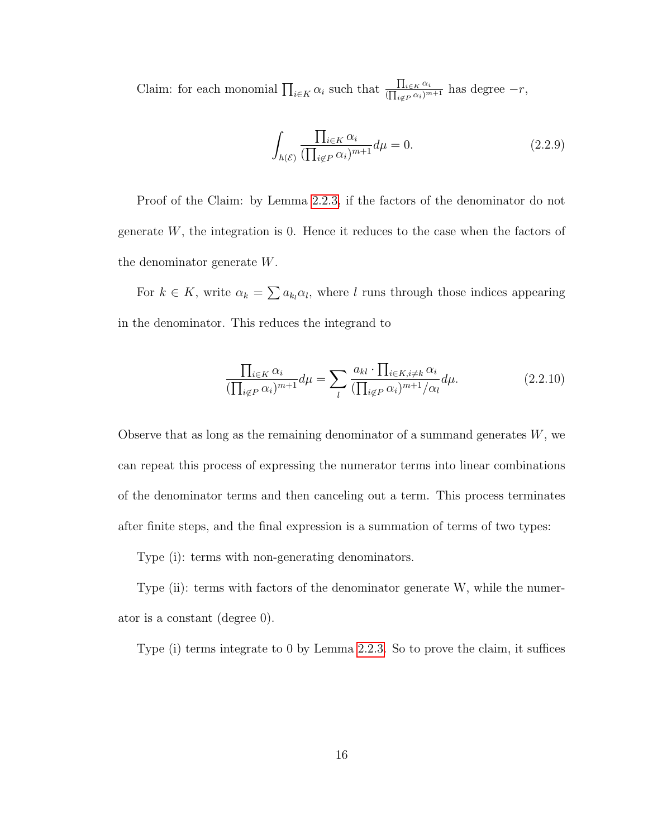Claim: for each monomial  $\prod_{i\in K} \alpha_i$  such that  $\frac{\prod_{i\in K} \alpha_i}{(\prod_{i\in F} \alpha_i)^m}$  $\frac{\prod_{i\in K}\alpha_i}{(\prod_{i\notin P}\alpha_i)^{m+1}}$  has degree  $-r$ ,

$$
\int_{h(\mathcal{E})} \frac{\prod_{i \in K} \alpha_i}{(\prod_{i \notin P} \alpha_i)^{m+1}} d\mu = 0.
$$
\n(2.2.9)

Proof of the Claim: by Lemma [2.2.3,](#page-19-2) if the factors of the denominator do not generate  $W$ , the integration is 0. Hence it reduces to the case when the factors of the denominator generate W.

For  $k \in K$ , write  $\alpha_k = \sum a_{k_l} \alpha_l$ , where l runs through those indices appearing in the denominator. This reduces the integrand to

$$
\frac{\prod_{i\in K}\alpha_i}{(\prod_{i\notin P}\alpha_i)^{m+1}}d\mu = \sum_l \frac{a_{kl} \cdot \prod_{i\in K, i\neq k}\alpha_i}{(\prod_{i\notin P}\alpha_i)^{m+1}/\alpha_l}d\mu.
$$
\n(2.2.10)

Observe that as long as the remaining denominator of a summand generates  $W$ , we can repeat this process of expressing the numerator terms into linear combinations of the denominator terms and then canceling out a term. This process terminates after finite steps, and the final expression is a summation of terms of two types:

Type (i): terms with non-generating denominators.

Type (ii): terms with factors of the denominator generate W, while the numerator is a constant (degree 0).

Type (i) terms integrate to 0 by Lemma [2.2.3.](#page-19-2) So to prove the claim, it suffices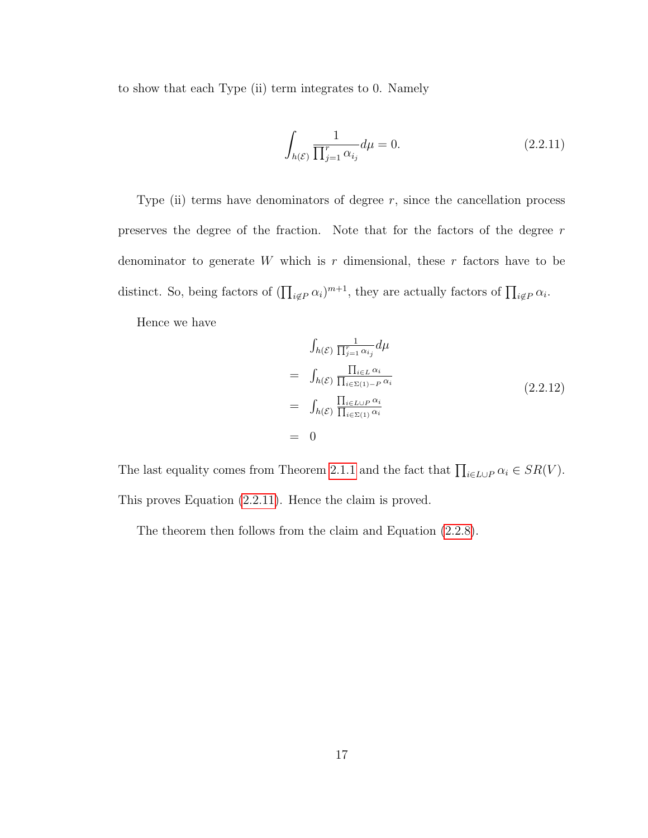to show that each Type (ii) term integrates to 0. Namely

<span id="page-24-0"></span>
$$
\int_{h(\mathcal{E})} \frac{1}{\prod_{j=1}^{r} \alpha_{i_j}} d\mu = 0.
$$
\n(2.2.11)

Type (ii) terms have denominators of degree  $r$ , since the cancellation process preserves the degree of the fraction. Note that for the factors of the degree r denominator to generate  $W$  which is  $r$  dimensional, these  $r$  factors have to be distinct. So, being factors of  $(\prod_{i \notin P} \alpha_i)^{m+1}$ , they are actually factors of  $\prod_{i \notin P} \alpha_i$ .

Hence we have

$$
\int_{h(\mathcal{E})} \frac{1}{\prod_{j=1}^{r} \alpha_{i_j}} d\mu
$$
\n
$$
= \int_{h(\mathcal{E})} \frac{\prod_{i \in L} \alpha_i}{\prod_{i \in \Sigma(1) - P} \alpha_i}
$$
\n
$$
= \int_{h(\mathcal{E})} \frac{\prod_{i \in L \cup P} \alpha_i}{\prod_{i \in \Sigma(1)} \alpha_i}
$$
\n
$$
= 0
$$
\n(2.2.12)

The last equality comes from Theorem [2.1.1](#page-16-0) and the fact that  $\prod_{i\in L\cup P} \alpha_i \in SR(V)$ . This proves Equation [\(2.2.11\)](#page-24-0). Hence the claim is proved.

The theorem then follows from the claim and Equation [\(2.2.8\)](#page-22-2).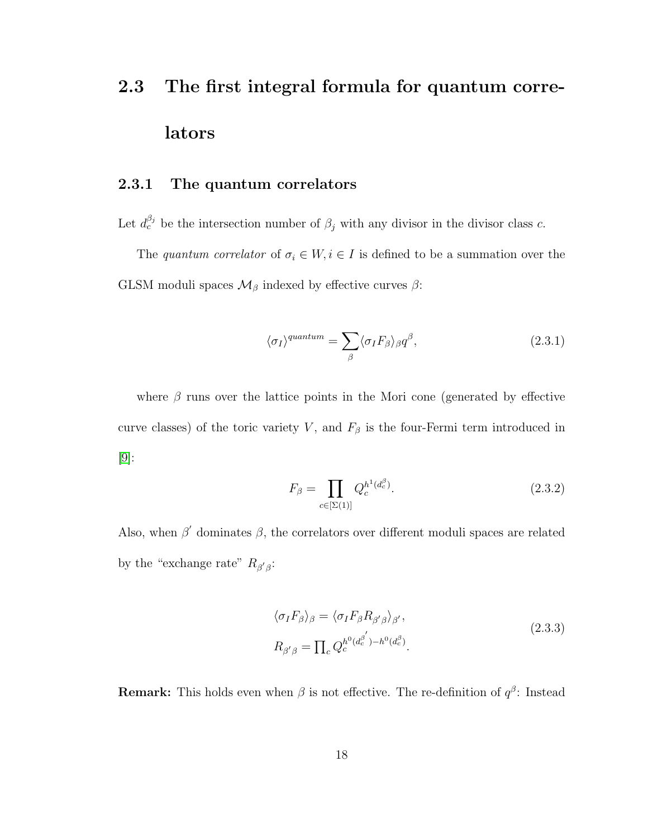# <span id="page-25-0"></span>2.3 The first integral formula for quantum correlators

#### <span id="page-25-1"></span>2.3.1 The quantum correlators

Let  $d_c^{\beta_j}$  be the intersection number of  $\beta_j$  with any divisor in the divisor class c.

The quantum correlator of  $\sigma_i \in W, i \in I$  is defined to be a summation over the GLSM moduli spaces  $\mathcal{M}_{\beta}$  indexed by effective curves  $\beta$ :

$$
\langle \sigma_I \rangle^{quantum} = \sum_{\beta} \langle \sigma_I F_{\beta} \rangle_{\beta} q^{\beta}, \qquad (2.3.1)
$$

where  $\beta$  runs over the lattice points in the Mori cone (generated by effective curve classes) of the toric variety V, and  $F_\beta$  is the four-Fermi term introduced in [\[9\]](#page-59-1):

$$
F_{\beta} = \prod_{c \in [\Sigma(1)]} Q_c^{h^1(d_c^{\beta})}.
$$
\n(2.3.2)

Also, when  $\beta'$  dominates  $\beta$ , the correlators over different moduli spaces are related by the "exchange rate"  $R_{\beta'\beta}$ :

<span id="page-25-2"></span>
$$
\langle \sigma_I F_\beta \rangle_\beta = \langle \sigma_I F_\beta R_{\beta' \beta} \rangle_{\beta'},
$$
  
\n
$$
R_{\beta' \beta} = \prod_c Q_c^{h^0(d_c^{\beta'}) - h^0(d_c^{\beta})}.
$$
\n(2.3.3)

**Remark:** This holds even when  $\beta$  is not effective. The re-definition of  $q^{\beta}$ : Instead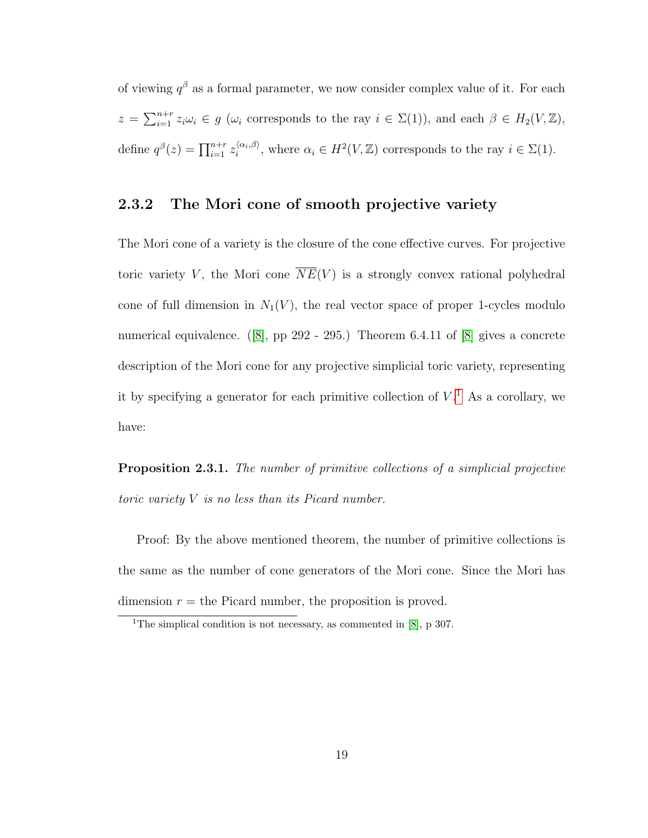of viewing  $q^{\beta}$  as a formal parameter, we now consider complex value of it. For each  $z = \sum_{i=1}^{n+r} z_i \omega_i \in g$  ( $\omega_i$  corresponds to the ray  $i \in \Sigma(1)$ ), and each  $\beta \in H_2(V, \mathbb{Z})$ , define  $q^{\beta}(z) = \prod_{i=1}^{n+r} z_i^{\langle \alpha_i, \beta \rangle}$  $\langle \alpha_i, \beta \rangle$ , where  $\alpha_i \in H^2(V, \mathbb{Z})$  corresponds to the ray  $i \in \Sigma(1)$ .

#### <span id="page-26-0"></span>2.3.2 The Mori cone of smooth projective variety

The Mori cone of a variety is the closure of the cone effective curves. For projective toric variety V, the Mori cone  $NE(V)$  is a strongly convex rational polyhedral cone of full dimension in  $N_1(V)$ , the real vector space of proper 1-cycles modulo numerical equivalence. ([\[8\]](#page-59-2), pp 292 - 295.) Theorem 6.4.11 of [8] gives a concrete description of the Mori cone for any projective simplicial toric variety, representing it by specifying a generator for each primitive collection of  $V<sup>1</sup>$  $V<sup>1</sup>$  $V<sup>1</sup>$ . As a corollary, we have:

Proposition 2.3.1. The number of primitive collections of a simplicial projective toric variety V is no less than its Picard number.

Proof: By the above mentioned theorem, the number of primitive collections is the same as the number of cone generators of the Mori cone. Since the Mori has dimension  $r =$  the Picard number, the proposition is proved.

<span id="page-26-1"></span><sup>&</sup>lt;sup>1</sup>The simplical condition is not necessary, as commented in  $[8]$ , p 307.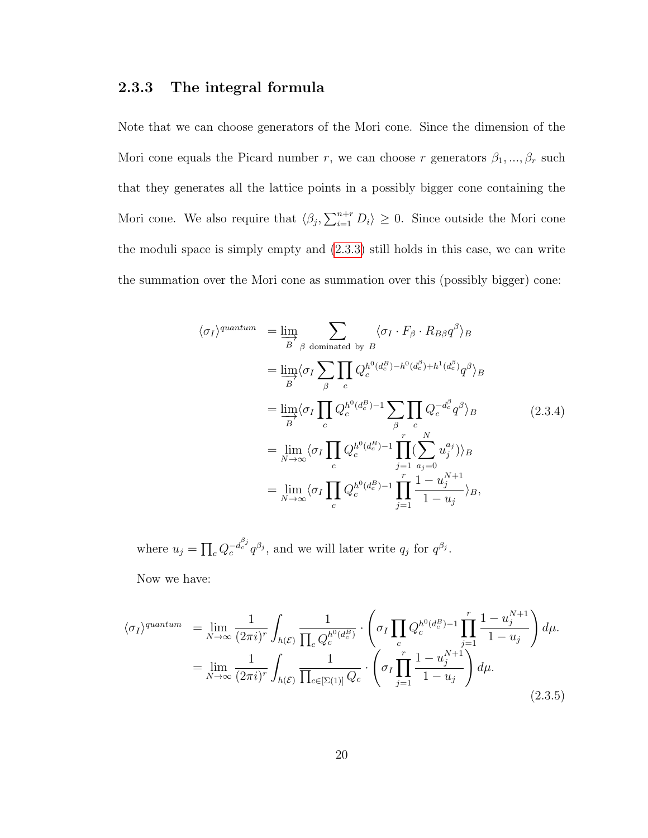#### <span id="page-27-0"></span>2.3.3 The integral formula

Note that we can choose generators of the Mori cone. Since the dimension of the Mori cone equals the Picard number  $r$ , we can choose  $r$  generators  $\beta_1, ..., \beta_r$  such that they generates all the lattice points in a possibly bigger cone containing the Mori cone. We also require that  $\langle \beta_j, \sum_{i=1}^{n+r} D_i \rangle \geq 0$ . Since outside the Mori cone the moduli space is simply empty and [\(2.3.3\)](#page-25-2) still holds in this case, we can write the summation over the Mori cone as summation over this (possibly bigger) cone:

$$
\langle \sigma_I \rangle^{quantum} = \lim_{\substack{B \\ B}} \sum_{\beta \text{ dominated by } B} \langle \sigma_I \cdot F_{\beta} \cdot R_{B\beta} q^{\beta} \rangle_B
$$
  
\n
$$
= \lim_{\substack{B \\ B}} \langle \sigma_I \sum_{\beta} \prod_c Q_c^{h^0(d_c^B) - h^0(d_c^{\beta}) + h^1(d_c^{\beta})} q^{\beta} \rangle_B
$$
  
\n
$$
= \lim_{\substack{B \\ B}} \langle \sigma_I \prod_c Q_c^{h^0(d_c^B) - 1} \sum_{\beta} \prod_c Q_c^{-d_c^{\beta}} q^{\beta} \rangle_B
$$
  
\n
$$
= \lim_{N \to \infty} \langle \sigma_I \prod_c Q_c^{h^0(d_c^B) - 1} \prod_{j=1}^r (\sum_{\substack{a_j = 0 \\ a_j = 0}}^{N} u_j^{a_j}) \rangle_B
$$
  
\n
$$
= \lim_{N \to \infty} \langle \sigma_I \prod_c Q_c^{h^0(d_c^B) - 1} \prod_{j=1}^r \frac{1 - u_j^{N+1}}{1 - u_j} \rangle_B,
$$
  
\n(2.3.4)

where  $u_j = \prod_c Q_c^{-d_c^{\beta_j}} q^{\beta_j}$ , and we will later write  $q_j$  for  $q^{\beta_j}$ .

Now we have:

$$
\langle \sigma_I \rangle^{quantum} = \lim_{N \to \infty} \frac{1}{(2\pi i)^r} \int_{h(\mathcal{E})} \frac{1}{\prod_c Q_c^{h^0(d_c^B)}} \cdot \left( \sigma_I \prod_c Q_c^{h^0(d_c^B) - 1} \prod_{j=1}^r \frac{1 - u_j^{N+1}}{1 - u_j} \right) d\mu.
$$
  

$$
= \lim_{N \to \infty} \frac{1}{(2\pi i)^r} \int_{h(\mathcal{E})} \frac{1}{\prod_{c \in [\Sigma(1)]} Q_c} \cdot \left( \sigma_I \prod_{j=1}^r \frac{1 - u_j^{N+1}}{1 - u_j} \right) d\mu.
$$
 (2.3.5)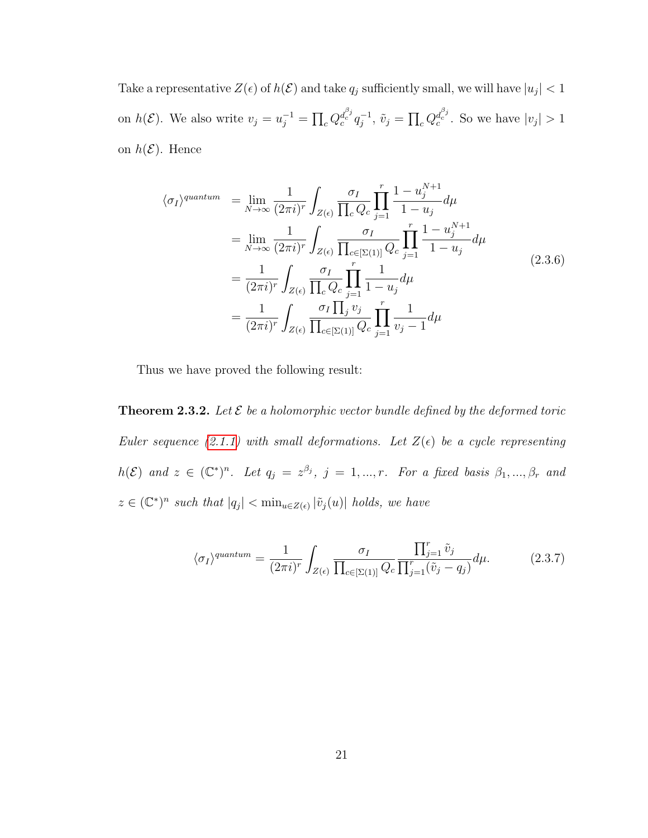Take a representative  $Z(\epsilon)$  of  $h(\mathcal{E})$  and take  $q_j$  sufficiently small, we will have  $|u_j| < 1$ on  $h(\mathcal{E})$ . We also write  $v_j = u_j^{-1} = \prod_c Q_c^{d_c^{\beta_j}} q_j^{-1}$  $j^{-1}, \tilde{v}_j = \prod_c Q_c^{d_c^{\beta_j}}$ . So we have  $|v_j| > 1$ on  $h(\mathcal{E})$ . Hence

$$
\langle \sigma_I \rangle^{quantum} = \lim_{N \to \infty} \frac{1}{(2\pi i)^r} \int_{Z(\epsilon)} \frac{\sigma_I}{\prod_c Q_c} \prod_{j=1}^r \frac{1 - u_j^{N+1}}{1 - u_j} d\mu
$$
  
\n
$$
= \lim_{N \to \infty} \frac{1}{(2\pi i)^r} \int_{Z(\epsilon)} \frac{\sigma_I}{\prod_{c \in [\Sigma(1)]} Q_c} \prod_{j=1}^r \frac{1 - u_j^{N+1}}{1 - u_j} d\mu
$$
  
\n
$$
= \frac{1}{(2\pi i)^r} \int_{Z(\epsilon)} \frac{\sigma_I}{\prod_c Q_c} \prod_{j=1}^r \frac{1}{1 - u_j} d\mu
$$
  
\n
$$
= \frac{1}{(2\pi i)^r} \int_{Z(\epsilon)} \frac{\sigma_I \prod_j v_j}{\prod_{c \in [\Sigma(1)]} Q_c} \prod_{j=1}^r \frac{1}{v_j - 1} d\mu
$$
  
\n(2.3.6)

Thus we have proved the following result:

<span id="page-28-1"></span>**Theorem 2.3.2.** Let  $\mathcal{E}$  be a holomorphic vector bundle defined by the deformed toric Euler sequence [\(2.1.1\)](#page-12-2) with small deformations. Let  $Z(\epsilon)$  be a cycle representing  $h(\mathcal{E})$  and  $z \in (\mathbb{C}^*)^n$ . Let  $q_j = z^{\beta_j}$ ,  $j = 1, ..., r$ . For a fixed basis  $\beta_1, ..., \beta_r$  and  $z \in (\mathbb{C}^*)^n$  such that  $|q_j| < \min_{u \in Z(\epsilon)} |\tilde{v}_j(u)|$  holds, we have

<span id="page-28-0"></span>
$$
\langle \sigma_I \rangle^{quantum} = \frac{1}{(2\pi i)^r} \int_{Z(\epsilon)} \frac{\sigma_I}{\prod_{c \in [\Sigma(1)]} Q_c} \frac{\prod_{j=1}^r \tilde{v}_j}{\prod_{j=1}^r (\tilde{v}_j - q_j)} d\mu. \tag{2.3.7}
$$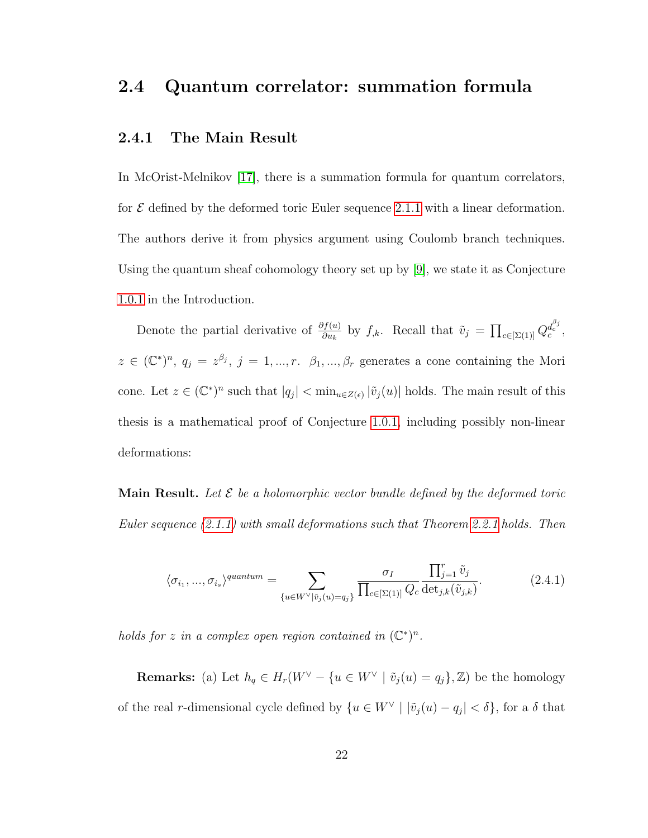#### <span id="page-29-0"></span>2.4 Quantum correlator: summation formula

#### <span id="page-29-1"></span>2.4.1 The Main Result

In McOrist-Melnikov [\[17\]](#page-60-3), there is a summation formula for quantum correlators, for  $\mathcal E$  defined by the deformed toric Euler sequence [2.1.1](#page-12-2) with a linear deformation. The authors derive it from physics argument using Coulomb branch techniques. Using the quantum sheaf cohomology theory set up by [\[9\]](#page-59-1), we state it as Conjecture [1.0.1](#page-9-1) in the Introduction.

Denote the partial derivative of  $\frac{\partial f(u)}{\partial u_k}$  by  $f_{,k}$ . Recall that  $\tilde{v}_j = \prod_{c \in [\Sigma(1)]} Q_c^{d_c^{\beta_j}}$ ,  $z \in (\mathbb{C}^*)^n$ ,  $q_j = z^{\beta_j}$ ,  $j = 1, ..., r$ .  $\beta_1, ..., \beta_r$  generates a cone containing the Mori cone. Let  $z \in (\mathbb{C}^*)^n$  such that  $|q_j| < \min_{u \in Z(\epsilon)} |\tilde{v}_j(u)|$  holds. The main result of this thesis is a mathematical proof of Conjecture [1.0.1,](#page-9-1) including possibly non-linear deformations:

**Main Result.** Let  $\mathcal{E}$  be a holomorphic vector bundle defined by the deformed toric Euler sequence [\(2.1.1\)](#page-12-2) with small deformations such that Theorem [2.2.1](#page-18-1) holds. Then

<span id="page-29-2"></span>
$$
\langle \sigma_{i_1}, \dots, \sigma_{i_s} \rangle^{quantum} = \sum_{\{u \in W^\vee | \tilde{v}_j(u) = q_j\}} \frac{\sigma_I}{\prod_{c \in [\Sigma(1)]} Q_c} \frac{\prod_{j=1}^r \tilde{v}_j}{\det_{j,k}(\tilde{v}_{j,k})}.
$$
(2.4.1)

holds for z in a complex open region contained in  $(\mathbb{C}^*)^n$ .

**Remarks:** (a) Let  $h_q \in H_r(W^\vee - \{u \in W^\vee \mid \tilde{v}_j(u) = q_j\}, \mathbb{Z})$  be the homology of the real r-dimensional cycle defined by  $\{u \in W^{\vee} \mid |\tilde{v}_j(u) - q_j| < \delta\}$ , for a  $\delta$  that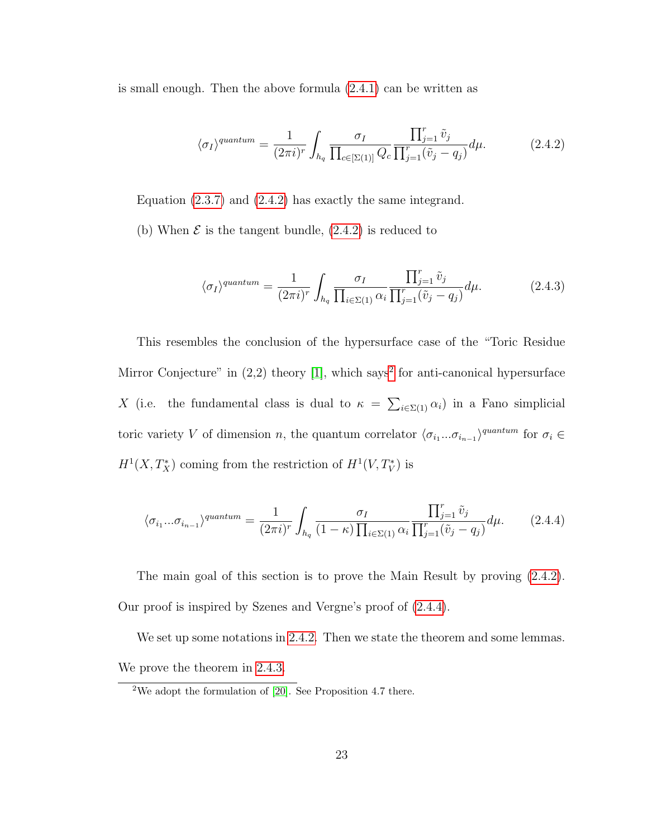is small enough. Then the above formula [\(2.4.1\)](#page-29-2) can be written as

<span id="page-30-1"></span>
$$
\langle \sigma_I \rangle^{quantum} = \frac{1}{(2\pi i)^r} \int_{h_q} \frac{\sigma_I}{\prod_{c \in [\Sigma(1)]} Q_c} \frac{\prod_{j=1}^r \tilde{v}_j}{\prod_{j=1}^r (\tilde{v}_j - q_j)} d\mu. \tag{2.4.2}
$$

Equation [\(2.3.7\)](#page-28-0) and [\(2.4.2\)](#page-30-1) has exactly the same integrand.

(b) When  $\mathcal E$  is the tangent bundle, [\(2.4.2\)](#page-30-1) is reduced to

$$
\langle \sigma_I \rangle^{quantum} = \frac{1}{(2\pi i)^r} \int_{h_q} \frac{\sigma_I}{\prod_{i \in \Sigma(1)} \alpha_i} \frac{\prod_{j=1}^r \tilde{v}_j}{\prod_{j=1}^r (\tilde{v}_j - q_j)} d\mu. \tag{2.4.3}
$$

This resembles the conclusion of the hypersurface case of the "Toric Residue Mirror Conjecture" in  $(2,2)$  $(2,2)$  $(2,2)$  theory [\[1\]](#page-58-2), which says<sup>2</sup> for anti-canonical hypersurface X (i.e. the fundamental class is dual to  $\kappa = \sum_{i \in \Sigma(1)} \alpha_i$ ) in a Fano simplicial toric variety V of dimension n, the quantum correlator  $\langle \sigma_{i_1}...\sigma_{i_{n-1}}\rangle^{quantum}$  for  $\sigma_i \in$  $H^1(X, T_X^*)$  coming from the restriction of  $H^1(V, T_V^*)$  is

<span id="page-30-0"></span>
$$
\langle \sigma_{i_1} \dots \sigma_{i_{n-1}} \rangle^{quantum} = \frac{1}{(2\pi i)^r} \int_{h_q} \frac{\sigma_I}{(1-\kappa) \prod_{i \in \Sigma(1)} \alpha_i} \frac{\prod_{j=1}^r \tilde{v}_j}{\prod_{j=1}^r (\tilde{v}_j - q_j)} d\mu. \tag{2.4.4}
$$

The main goal of this section is to prove the Main Result by proving [\(2.4.2\)](#page-30-1). Our proof is inspired by Szenes and Vergne's proof of [\(2.4.4\)](#page-30-0).

We set up some notations in [2.4.2.](#page-31-0) Then we state the theorem and some lemmas. We prove the theorem in [2.4.3.](#page-35-0)

<span id="page-30-2"></span><sup>&</sup>lt;sup>2</sup>We adopt the formulation of  $[20]$ . See Proposition 4.7 there.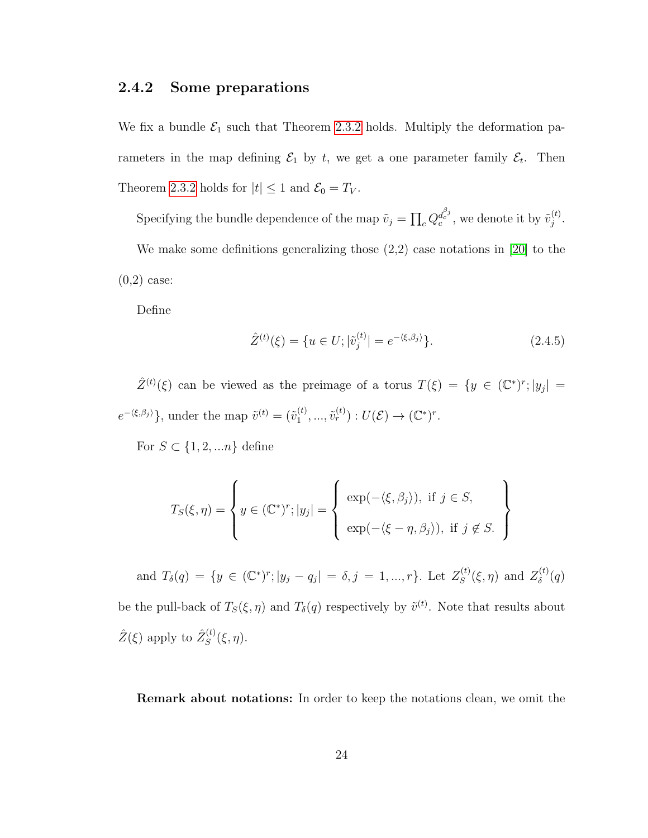#### <span id="page-31-0"></span>2.4.2 Some preparations

We fix a bundle  $\mathcal{E}_1$  such that Theorem [2.3.2](#page-28-1) holds. Multiply the deformation parameters in the map defining  $\mathcal{E}_1$  by t, we get a one parameter family  $\mathcal{E}_t$ . Then Theorem [2.3.2](#page-28-1) holds for  $|t| \leq 1$  and  $\mathcal{E}_0 = T_V$ .

Specifying the bundle dependence of the map  $\tilde{v}_j = \prod_c Q_c^{d_c^{\beta_j}}$ , we denote it by  $\tilde{v}_j^{(t)}$  $\frac{(t)}{j}$  . We make some definitions generalizing those  $(2,2)$  case notations in [\[20\]](#page-60-2) to the  $(0,2)$  case:

Define

$$
\hat{Z}^{(t)}(\xi) = \{ u \in U; |\tilde{v}_j^{(t)}| = e^{-\langle \xi, \beta_j \rangle} \}.
$$
\n(2.4.5)

 $\hat{Z}^{(t)}(\xi)$  can be viewed as the preimage of a torus  $T(\xi) = \{y \in (\mathbb{C}^*)^r; |y_j| =$  $e^{-\langle \xi, \beta_j \rangle}$ , under the map  $\tilde{v}^{(t)} = (\tilde{v}_1^{(t)})$  $j_1^{(t)},..., \tilde{v}_r^{(t)}): U(\mathcal{E}) \to (\mathbb{C}^*)^r.$ 

For  $S \subset \{1, 2, \ldots n\}$  define

$$
T_S(\xi, \eta) = \left\{ y \in (\mathbb{C}^*)^r; |y_j| = \left\{ \begin{array}{l} \exp(-\langle \xi, \beta_j \rangle), \text{ if } j \in S, \\ \exp(-\langle \xi - \eta, \beta_j \rangle), \text{ if } j \notin S. \end{array} \right\} \right\}
$$

and  $T_{\delta}(q) = \{y \in (\mathbb{C}^*)^r; |y_j - q_j| = \delta, j = 1, ..., r\}$ . Let  $Z_S^{(t)}$  $S^{(t)}(\\mathcal{E}, \eta)$  and  $Z_{\delta}^{(t)}$  $\delta^{\left(t\right)}(q)$ be the pull-back of  $T_S(\xi, \eta)$  and  $T_\delta(q)$  respectively by  $\tilde{v}^{(t)}$ . Note that results about  $\hat{Z}(\xi)$  apply to  $\hat{Z}_{S}^{(t)}$  $S^{(t)}(\xi,\eta).$ 

Remark about notations: In order to keep the notations clean, we omit the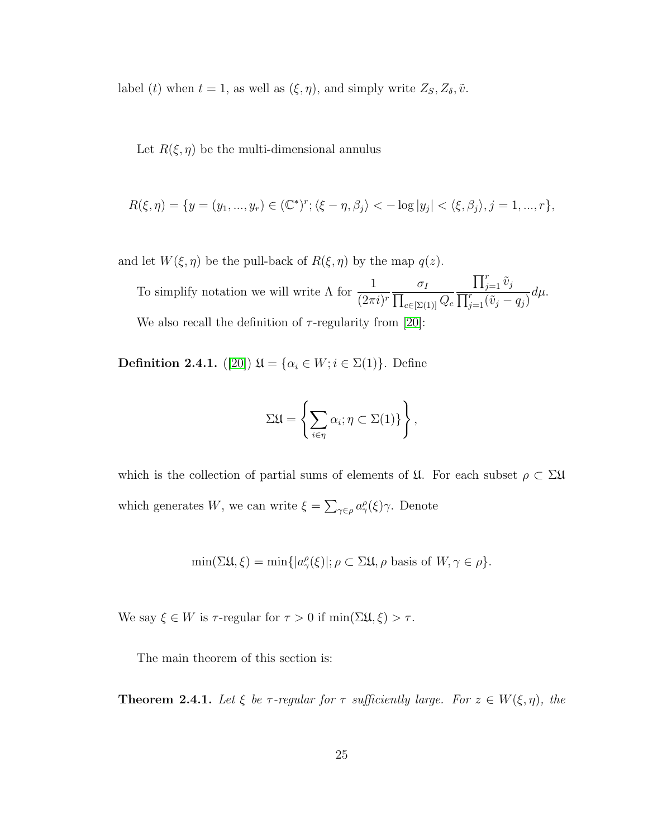label (t) when  $t = 1$ , as well as  $(\xi, \eta)$ , and simply write  $Z_S, Z_\delta, \tilde{\nu}$ .

Let  $R(\xi, \eta)$  be the multi-dimensional annulus

$$
R(\xi,\eta)=\{y=(y_1,...,y_r)\in (\mathbb{C}^*)^r; \langle \xi-\eta,\beta_j\rangle < -\log|y_j| < \langle \xi,\beta_j\rangle, j=1,...,r\},\
$$

and let  $W(\xi, \eta)$  be the pull-back of  $R(\xi, \eta)$  by the map  $q(z)$ .

To simplify notation we will write  $\Lambda$  for  $\frac{1}{40}$  $(2\pi i)^r \prod$  $\sigma_I$  $_{c\in [\Sigma(1)]}Q_c$  $\prod_{j=1}^r \tilde{v}_j$  $\overline{\prod_{j=1}^r (\tilde{v}_j - q_j)}$  $d\mu$ . We also recall the definition of  $\tau$ -regularity from [\[20\]](#page-60-2):

Definition 2.4.1. ([\[20\]](#page-60-2))  $\mathfrak{U} = {\alpha_i \in W; i \in \Sigma(1)}$ . Define

$$
\Sigma \mathfrak{U} = \left\{ \sum_{i \in \eta} \alpha_i; \eta \subset \Sigma(1) \right\},\
$$

which is the collection of partial sums of elements of  $\mathfrak{U}$ . For each subset  $\rho \subset \Sigma \mathfrak{U}$ which generates W, we can write  $\xi = \sum_{\gamma \in \rho} a_{\gamma}^{\rho}(\xi) \gamma$ . Denote

$$
\min(\Sigma\mathfrak{U},\xi) = \min\{|a^{\rho}_{\gamma}(\xi)|; \rho \subset \Sigma\mathfrak{U}, \rho \text{ basis of } W, \gamma \in \rho\}.
$$

We say  $\xi \in W$  is  $\tau$ -regular for  $\tau > 0$  if  $\min(\Sigma \mathfrak{U}, \xi) > \tau$ .

The main theorem of this section is:

**Theorem 2.4.1.** Let  $\xi$  be  $\tau$ -regular for  $\tau$  sufficiently large. For  $z \in W(\xi, \eta)$ , the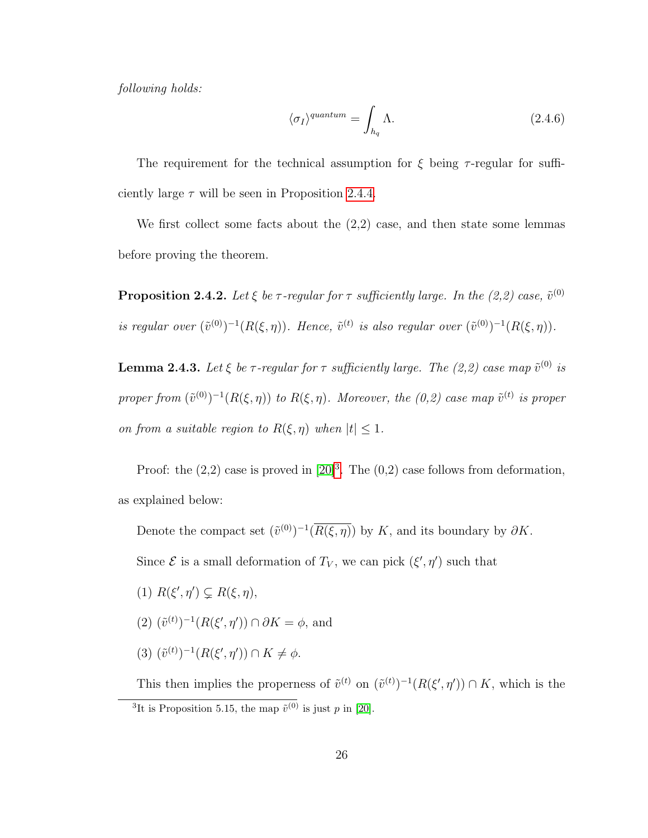following holds:

$$
\langle \sigma_I \rangle^{quantum} = \int_{h_q} \Lambda. \tag{2.4.6}
$$

The requirement for the technical assumption for  $\xi$  being  $\tau$ -regular for sufficiently large  $\tau$  will be seen in Proposition [2.4.4.](#page-34-0)

We first collect some facts about the (2,2) case, and then state some lemmas before proving the theorem.

**Proposition 2.4.2.** Let  $\xi$  be  $\tau$ -regular for  $\tau$  sufficiently large. In the (2,2) case,  $\tilde{v}^{(0)}$ is regular over  $(\tilde{v}^{(0)})^{-1}(R(\xi,\eta))$ . Hence,  $\tilde{v}^{(t)}$  is also regular over  $(\tilde{v}^{(0)})^{-1}(R(\xi,\eta))$ .

<span id="page-33-1"></span>**Lemma 2.4.3.** Let  $\xi$  be  $\tau$ -regular for  $\tau$  sufficiently large. The (2,2) case map  $\tilde{v}^{(0)}$  is proper from  $(\tilde{v}^{(0)})^{-1}(R(\xi,\eta))$  to  $R(\xi,\eta)$ . Moreover, the  $(0,2)$  case map  $\tilde{v}^{(t)}$  is proper on from a suitable region to  $R(\xi, \eta)$  when  $|t| \leq 1$ .

Proof: the  $(2,2)$  case is proved in  $[20]$ <sup>[3](#page-33-0)</sup>. The  $(0,2)$  case follows from deformation, as explained below:

Denote the compact set  $(\tilde{v}^{(0)})^{-1}(\overline{R(\xi,\eta)})$  by K, and its boundary by  $\partial K$ .

Since  $\mathcal E$  is a small deformation of  $T_V$ , we can pick  $(\xi', \eta')$  such that

- (1)  $R(\xi', \eta') \subsetneq R(\xi, \eta)$ ,
- $(2)$   $(\tilde{v}^{(t)})^{-1}(R(\xi', \eta')) \cap \partial K = \phi$ , and
- $(3)$   $(\tilde{v}^{(t)})^{-1}(R(\xi', \eta')) \cap K \neq \phi$ .

<span id="page-33-0"></span>This then implies the properness of  $\tilde{v}^{(t)}$  on  $(\tilde{v}^{(t)})^{-1}(R(\xi', \eta')) \cap K$ , which is the <sup>3</sup>It is Proposition 5.15, the map  $\tilde{v}^{(0)}$  is just p in [\[20\]](#page-60-2).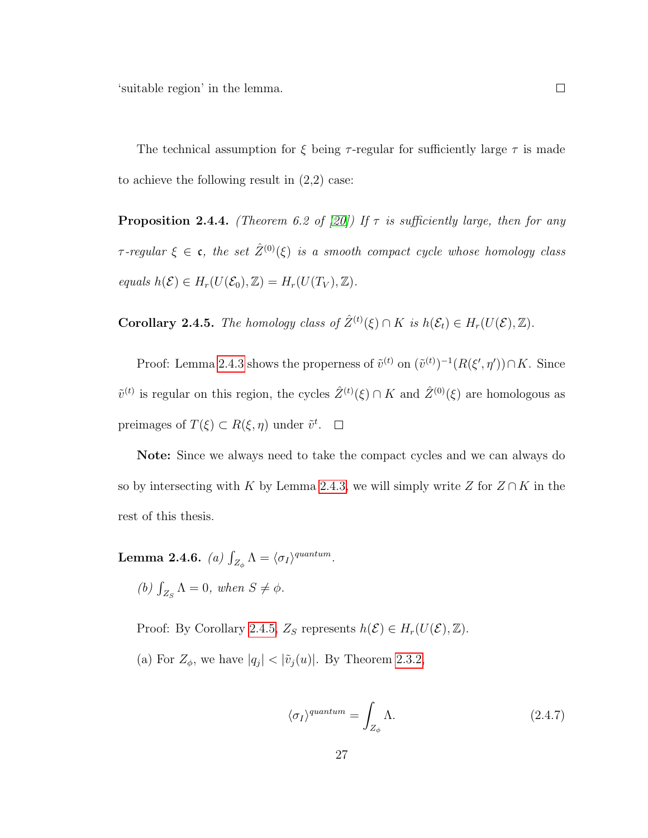'suitable region' in the lemma.

 $\Box$ 

The technical assumption for  $\xi$  being  $\tau$ -regular for sufficiently large  $\tau$  is made to achieve the following result in  $(2,2)$  case:

<span id="page-34-0"></span>**Proposition 2.4.4.** (Theorem 6.2 of [\[20\]](#page-60-2)) If  $\tau$  is sufficiently large, then for any  $\tau$ -regular  $\xi \in \mathfrak{c}$ , the set  $\hat{Z}^{(0)}(\xi)$  is a smooth compact cycle whose homology class equals  $h(\mathcal{E}) \in H_r(U(\mathcal{E}_0), \mathbb{Z}) = H_r(U(T_V), \mathbb{Z}).$ 

<span id="page-34-1"></span>**Corollary 2.4.5.** The homology class of  $\hat{Z}^{(t)}(\xi) \cap K$  is  $h(\mathcal{E}_t) \in H_r(U(\mathcal{E}), \mathbb{Z})$ .

Proof: Lemma [2.4.3](#page-33-1) shows the properness of  $\tilde{v}^{(t)}$  on  $(\tilde{v}^{(t)})^{-1}(R(\xi', \eta')) \cap K$ . Since  $\tilde{v}^{(t)}$  is regular on this region, the cycles  $\hat{Z}^{(t)}(\xi) \cap K$  and  $\hat{Z}^{(0)}(\xi)$  are homologous as preimages of  $T(\xi) \subset R(\xi, \eta)$  under  $\tilde{v}^t$ .

Note: Since we always need to take the compact cycles and we can always do so by intersecting with K by Lemma [2.4.3,](#page-33-1) we will simply write Z for  $Z \cap K$  in the rest of this thesis.

<span id="page-34-2"></span>**Lemma 2.4.6.** (a)  $\int_{Z_{\phi}} \Lambda = \langle \sigma_I \rangle^{quantum}$ .

(b)  $\int_{Z_S} \Lambda = 0$ , when  $S \neq \phi$ .

Proof: By Corollary [2.4.5,](#page-34-1)  $Z_S$  represents  $h(\mathcal{E}) \in H_r(U(\mathcal{E}), \mathbb{Z})$ .

(a) For  $Z_{\phi}$ , we have  $|q_j| < |\tilde{v}_j(u)|$ . By Theorem [2.3.2,](#page-28-1)

<span id="page-34-3"></span>
$$
\langle \sigma_I \rangle^{quantum} = \int_{Z_{\phi}} \Lambda. \tag{2.4.7}
$$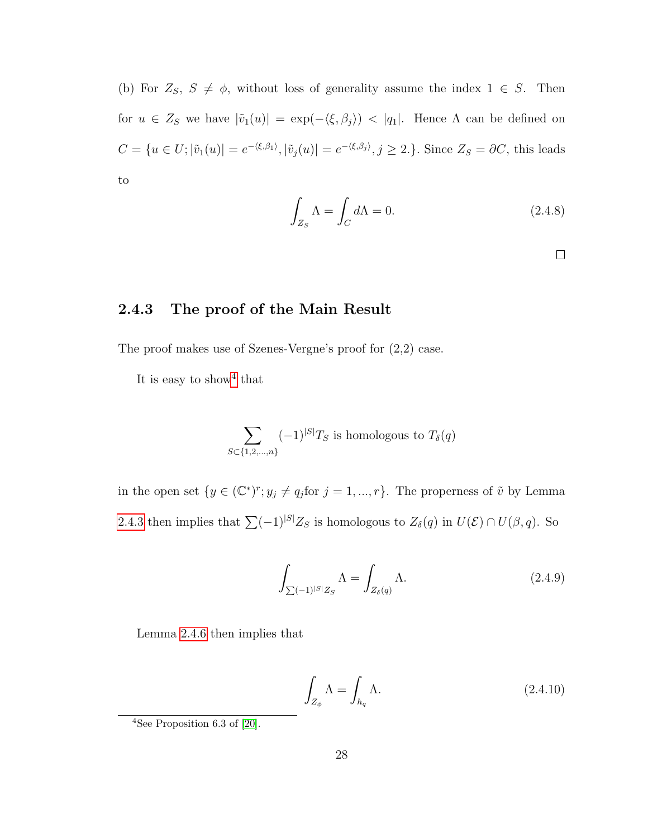(b) For  $Z_S$ ,  $S \neq \phi$ , without loss of generality assume the index  $1 \in S$ . Then for  $u \in Z_S$  we have  $|\tilde{v}_1(u)| = \exp(-\langle \xi, \beta_j \rangle) < |q_1|$ . Hence  $\Lambda$  can be defined on  $C = \{u \in U; |\tilde{v}_1(u)| = e^{-\langle \xi, \beta_1 \rangle}, |\tilde{v}_j(u)| = e^{-\langle \xi, \beta_j \rangle}, j \ge 2.\}$ . Since  $Z_S = \partial C$ , this leads to

$$
\int_{Z_S} \Lambda = \int_C d\Lambda = 0. \tag{2.4.8}
$$

 $\Box$ 

#### <span id="page-35-0"></span>2.4.3 The proof of the Main Result

The proof makes use of Szenes-Vergne's proof for (2,2) case.

It is easy to show<sup>[4](#page-35-1)</sup> that

$$
\sum_{S \subset \{1,2,\ldots,n\}} (-1)^{|S|} T_S
$$
 is homologous to  $T_\delta(q)$ 

in the open set  $\{y \in (\mathbb{C}^*)^r : y_j \neq q_j \text{ for } j = 1, ..., r\}$ . The properness of  $\tilde{v}$  by Lemma [2.4.3](#page-33-1) then implies that  $\sum (-1)^{|S|} Z_S$  is homologous to  $Z_\delta(q)$  in  $U(\mathcal{E}) \cap U(\beta, q)$ . So

$$
\int_{\sum (-1)^{|S|}Z_S} \Lambda = \int_{Z_\delta(q)} \Lambda. \tag{2.4.9}
$$

Lemma [2.4.6](#page-34-2) then implies that

$$
\int_{Z_{\phi}} \Lambda = \int_{h_q} \Lambda. \tag{2.4.10}
$$

<span id="page-35-1"></span><sup>4</sup>See Proposition 6.3 of [\[20\]](#page-60-2).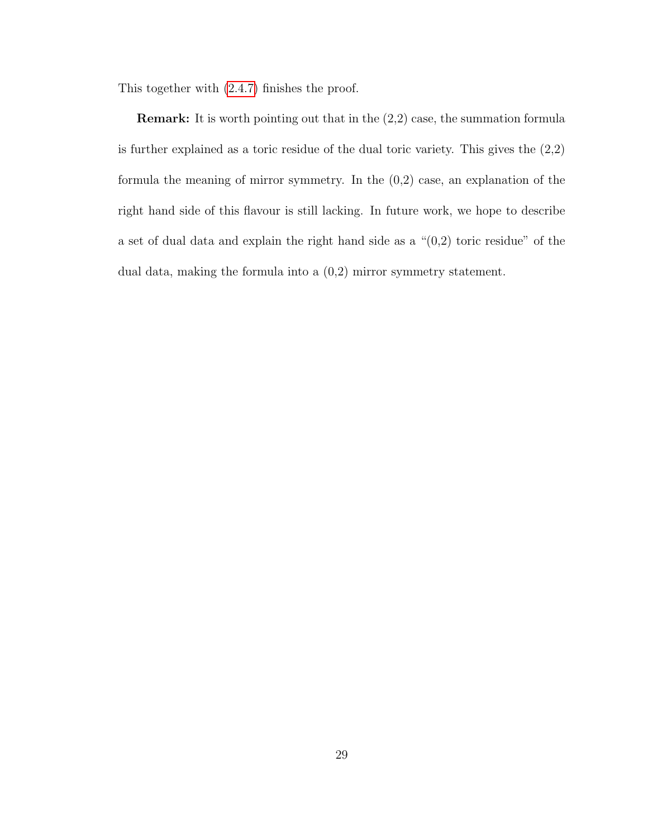This together with [\(2.4.7\)](#page-34-3) finishes the proof.

Remark: It is worth pointing out that in the (2,2) case, the summation formula is further explained as a toric residue of the dual toric variety. This gives the (2,2) formula the meaning of mirror symmetry. In the (0,2) case, an explanation of the right hand side of this flavour is still lacking. In future work, we hope to describe a set of dual data and explain the right hand side as a "(0,2) toric residue" of the dual data, making the formula into a (0,2) mirror symmetry statement.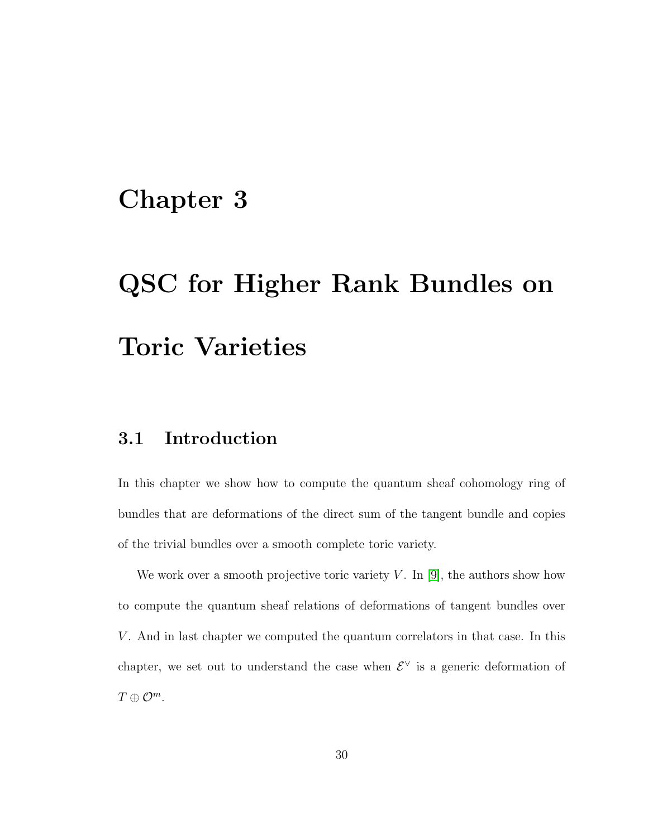### <span id="page-37-0"></span>Chapter 3

# QSC for Higher Rank Bundles on Toric Varieties

#### <span id="page-37-1"></span>3.1 Introduction

In this chapter we show how to compute the quantum sheaf cohomology ring of bundles that are deformations of the direct sum of the tangent bundle and copies of the trivial bundles over a smooth complete toric variety.

We work over a smooth projective toric variety  $V$ . In [\[9\]](#page-59-1), the authors show how to compute the quantum sheaf relations of deformations of tangent bundles over V. And in last chapter we computed the quantum correlators in that case. In this chapter, we set out to understand the case when  $\mathcal{E}^{\vee}$  is a generic deformation of  $T \oplus \mathcal{O}^m$ .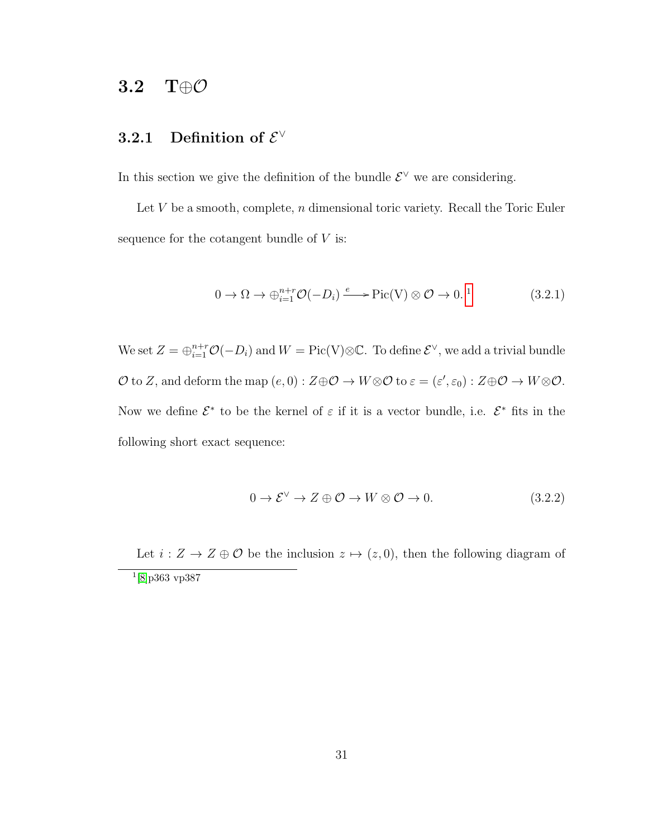#### <span id="page-38-0"></span>3.2 T⊕O

#### <span id="page-38-1"></span>3.2.1 Definition of  $\mathcal{E}^{\vee}$

In this section we give the definition of the bundle  $\mathcal{E}^{\vee}$  we are considering.

Let  $V$  be a smooth, complete,  $n$  dimensional toric variety. Recall the Toric Euler sequence for the cotangent bundle of  $V$  is:

$$
0 \to \Omega \to \bigoplus_{i=1}^{n+r} \mathcal{O}(-D_i) \xrightarrow{e} \text{Pic}(V) \otimes \mathcal{O} \to 0.
$$
<sup>1</sup> (3.2.1)

We set  $Z = \bigoplus_{i=1}^{n+r} \mathcal{O}(-D_i)$  and  $W = \text{Pic}(V) \otimes \mathbb{C}$ . To define  $\mathcal{E}^{\vee}$ , we add a trivial bundle  $\mathcal O$  to Z, and deform the map  $(e,0): Z \oplus \mathcal O \to W \otimes \mathcal O$  to  $\varepsilon = (\varepsilon', \varepsilon_0): Z \oplus \mathcal O \to W \otimes \mathcal O$ . Now we define  $\mathcal{E}^*$  to be the kernel of  $\varepsilon$  if it is a vector bundle, i.e.  $\mathcal{E}^*$  fits in the following short exact sequence:

<span id="page-38-3"></span>
$$
0 \to \mathcal{E}^{\vee} \to Z \oplus \mathcal{O} \to W \otimes \mathcal{O} \to 0. \tag{3.2.2}
$$

<span id="page-38-2"></span>Let  $i: Z \to Z \oplus \mathcal{O}$  be the inclusion  $z \mapsto (z, 0)$ , then the following diagram of 1 [\[8\]](#page-59-2)p363 vp387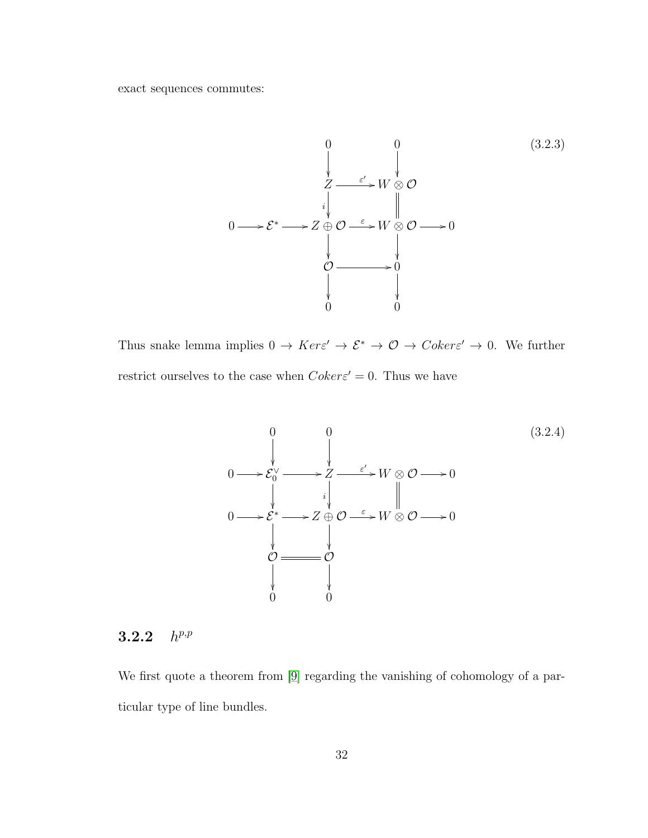exact sequences commutes:



Thus snake lemma implies  $0 \to Ker \varepsilon' \to \mathcal{E}^* \to \mathcal{O} \to Coker \varepsilon' \to 0$ . We further restrict ourselves to the case when  $Coker \varepsilon' = 0$ . Thus we have

<span id="page-39-1"></span>

#### <span id="page-39-0"></span>3.2.2 h  $h^{p,p}$

We first quote a theorem from [\[9\]](#page-59-1) regarding the vanishing of cohomology of a particular type of line bundles.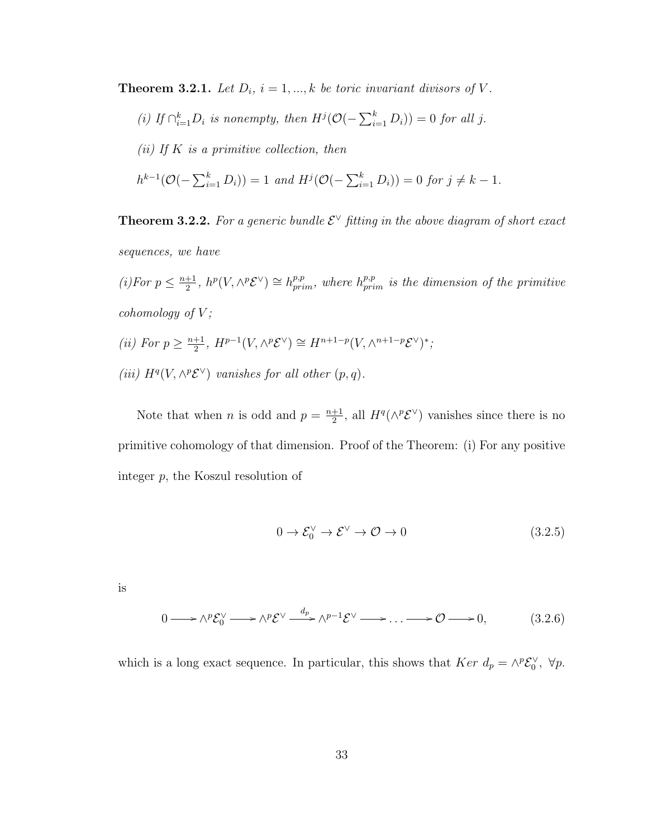<span id="page-40-1"></span>**Theorem 3.2.1.** Let  $D_i$ ,  $i = 1, ..., k$  be toric invariant divisors of V.

(i) If  $\bigcap_{i=1}^k D_i$  is nonempty, then  $H^j(\mathcal{O}(-\sum_{i=1}^k D_i)) = 0$  for all j. (ii) If  $K$  is a primitive collection, then  $h^{k-1}(\mathcal{O}(-\sum_{i=1}^k D_i)) = 1$  and  $H^j(\mathcal{O}(-\sum_{i=1}^k D_i)) = 0$  for  $j \neq k-1$ .

<span id="page-40-0"></span>**Theorem 3.2.2.** For a generic bundle  $\mathcal{E}^{\vee}$  fitting in the above diagram of short exact sequences, we have

 $(i)$ For  $p \leq \frac{n+1}{2}$  $\frac{1}{2}$ ,  $h^p(V, \wedge^p \mathcal{E}^{\vee}) \cong h^{p,p}_{prim}$ , where  $h^{p,p}_{prim}$  is the dimension of the primitive cohomology of  $V$ ; (*ii*) For  $p \geq \frac{n+1}{2}$  $\frac{+1}{2}$ ,  $H^{p-1}(V, \wedge^p \mathcal{E}^{\vee}) \cong H^{n+1-p}(V, \wedge^{n+1-p} \mathcal{E}^{\vee})^*$ ; (iii)  $H^q(V, \wedge^p {\mathcal{E}}^\vee)$  vanishes for all other  $(p, q)$ .

Note that when *n* is odd and  $p = \frac{n+1}{2}$  $\frac{+1}{2}$ , all  $H^q(\wedge^p \mathcal{E}^{\vee})$  vanishes since there is no primitive cohomology of that dimension. Proof of the Theorem: (i) For any positive integer p, the Koszul resolution of

$$
0 \to \mathcal{E}_0^{\vee} \to \mathcal{E}^{\vee} \to \mathcal{O} \to 0 \tag{3.2.5}
$$

is

$$
0 \longrightarrow \wedge^p \mathcal{E}_0^{\vee} \longrightarrow \wedge^p \mathcal{E}^{\vee} \stackrel{d_p}{\longrightarrow} \wedge^{p-1} \mathcal{E}^{\vee} \longrightarrow \dots \longrightarrow \mathcal{O} \longrightarrow 0, \tag{3.2.6}
$$

which is a long exact sequence. In particular, this shows that  $Ker d_p = \wedge^p \mathcal{E}_0^{\vee}$ ,  $\forall p$ .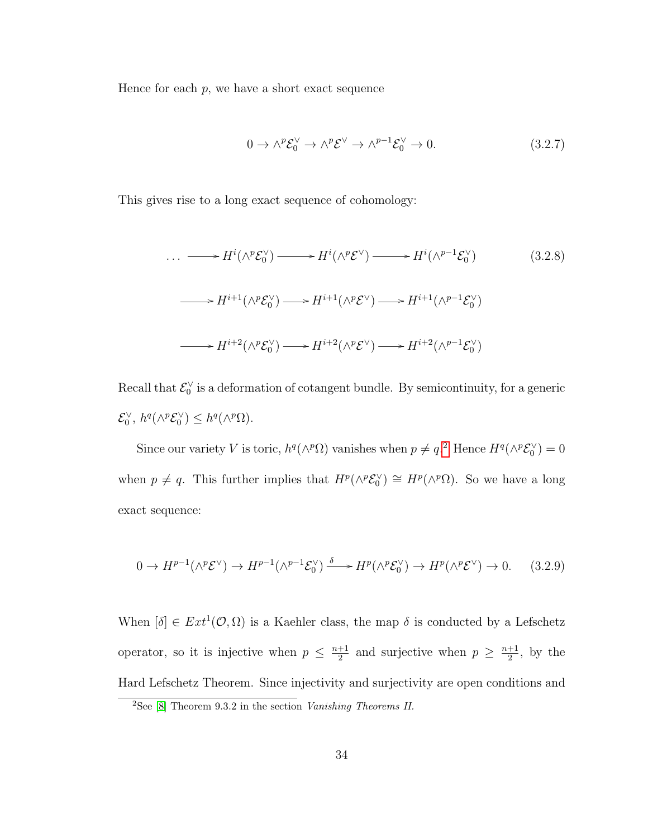Hence for each  $p$ , we have a short exact sequence

<span id="page-41-1"></span>
$$
0 \to \wedge^p \mathcal{E}_0^{\vee} \to \wedge^p \mathcal{E}^{\vee} \to \wedge^{p-1} \mathcal{E}_0^{\vee} \to 0. \tag{3.2.7}
$$

This gives rise to a long exact sequence of cohomology:

$$
\cdots \longrightarrow H^{i}(\wedge^{p} \mathcal{E}_{0}^{\vee}) \longrightarrow H^{i}(\wedge^{p} \mathcal{E}^{\vee}) \longrightarrow H^{i}(\wedge^{p-1} \mathcal{E}_{0}^{\vee})
$$
(3.2.8)  

$$
\longrightarrow H^{i+1}(\wedge^{p} \mathcal{E}_{0}^{\vee}) \longrightarrow H^{i+1}(\wedge^{p} \mathcal{E}^{\vee}) \longrightarrow H^{i+1}(\wedge^{p-1} \mathcal{E}_{0}^{\vee})
$$
  

$$
\longrightarrow H^{i+2}(\wedge^{p} \mathcal{E}_{0}^{\vee}) \longrightarrow H^{i+2}(\wedge^{p} \mathcal{E}^{\vee}) \longrightarrow H^{i+2}(\wedge^{p-1} \mathcal{E}_{0}^{\vee})
$$

Recall that  $\mathcal{E}_0^{\vee}$  is a deformation of cotangent bundle. By semicontinuity, for a generic  $\mathcal{E}_0^{\vee}$ ,  $h^q(\wedge^p \mathcal{E}_0^{\vee}) \leq h^q(\wedge^p \Omega)$ .

Since our variety V is toric,  $h^q(\wedge^p \Omega)$  vanishes when  $p \neq q$ <sup>[2](#page-41-0)</sup> Hence  $H^q(\wedge^p \mathcal{E}_0^{\vee}) = 0$ when  $p \neq q$ . This further implies that  $H^p(\wedge^p \mathcal{E}_0^{\vee}) \cong H^p(\wedge^p \Omega)$ . So we have a long exact sequence:

$$
0 \to H^{p-1}(\wedge^p \mathcal{E}^\vee) \to H^{p-1}(\wedge^{p-1} \mathcal{E}_0^\vee) \xrightarrow{\delta} H^p(\wedge^p \mathcal{E}_0^\vee) \to H^p(\wedge^p \mathcal{E}^\vee) \to 0. \tag{3.2.9}
$$

When  $[\delta] \in Ext^1(\mathcal{O}, \Omega)$  is a Kaehler class, the map  $\delta$  is conducted by a Lefschetz operator, so it is injective when  $p \leq \frac{n+1}{2}$  $\frac{+1}{2}$  and surjective when  $p \geq \frac{n+1}{2}$  $\frac{+1}{2}$ , by the Hard Lefschetz Theorem. Since injectivity and surjectivity are open conditions and

<span id="page-41-0"></span><sup>&</sup>lt;sup>2</sup>See [\[8\]](#page-59-2) Theorem 9.3.2 in the section *Vanishing Theorems II*.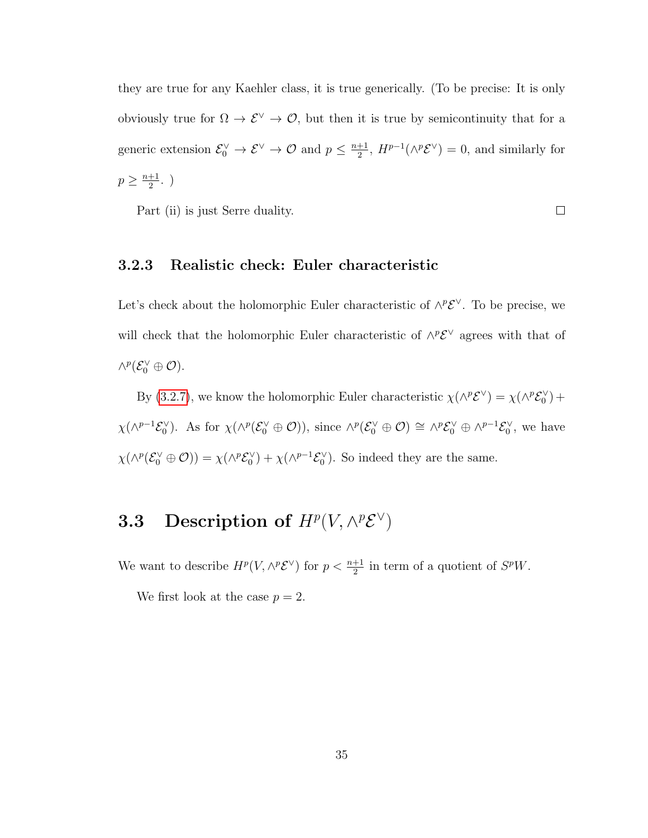they are true for any Kaehler class, it is true generically. (To be precise: It is only obviously true for  $\Omega \to \mathcal{E}^{\vee} \to \mathcal{O}$ , but then it is true by semicontinuity that for a generic extension  $\mathcal{E}_0^{\vee} \to \mathcal{E}^{\vee} \to \mathcal{O}$  and  $p \leq \frac{n+1}{2}$  $\frac{+1}{2}$ ,  $H^{p-1}(\wedge^p \mathcal{E}^{\vee}) = 0$ , and similarly for  $p \geq \frac{n+1}{2}$  $\frac{+1}{2}$ .)

Part (ii) is just Serre duality.

 $\Box$ 

#### <span id="page-42-0"></span>3.2.3 Realistic check: Euler characteristic

Let's check about the holomorphic Euler characteristic of  $\wedge^p \mathcal{E}^{\vee}$ . To be precise, we will check that the holomorphic Euler characteristic of  $\wedge^p {\mathcal{E}}^\vee$  agrees with that of  $\wedge^p({\mathcal E}_0^\vee \oplus {\mathcal O}).$ 

By [\(3.2.7\)](#page-41-1), we know the holomorphic Euler characteristic  $\chi(\wedge^p \mathcal{E}^{\vee}) = \chi(\wedge^p \mathcal{E}_0^{\vee}) +$  $\chi(\wedge^{p-1}\mathcal{E}_0^{\vee})$ . As for  $\chi(\wedge^p(\mathcal{E}_0^{\vee} \oplus \mathcal{O}))$ , since  $\wedge^p(\mathcal{E}_0^{\vee} \oplus \mathcal{O}) \cong \wedge^p\mathcal{E}_0^{\vee} \oplus \wedge^{p-1}\mathcal{E}_0^{\vee}$ , we have  $\chi(\wedge^p(\mathcal{E}_0^{\vee} \oplus \mathcal{O})) = \chi(\wedge^p \mathcal{E}_0^{\vee}) + \chi(\wedge^{p-1} \mathcal{E}_0^{\vee}).$  So indeed they are the same.

### <span id="page-42-1"></span>3.3 Description of  $H^p(V, \wedge^p {\mathcal E}^\vee)$

We want to describe  $H^p(V, \wedge^p {\mathcal{E}}^\vee)$  for  $p < \frac{n+1}{2}$  in term of a quotient of  $S^pW$ .

We first look at the case  $p = 2$ .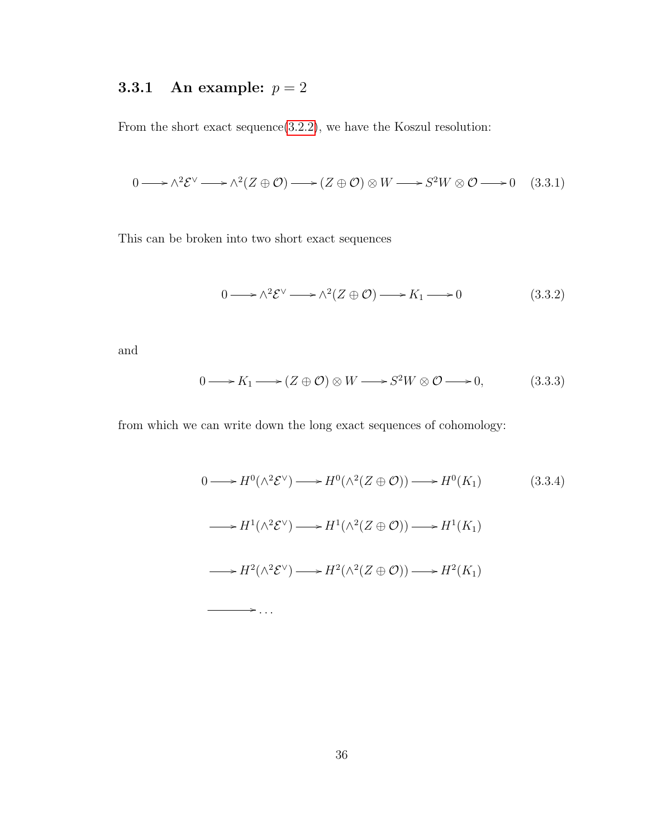#### <span id="page-43-0"></span>3.3.1 An example:  $p = 2$

From the short exact sequence[\(3.2.2\)](#page-38-3), we have the Koszul resolution:

$$
0 \longrightarrow \wedge^2 \mathcal{E}^{\vee} \longrightarrow \wedge^2 (Z \oplus \mathcal{O}) \longrightarrow (Z \oplus \mathcal{O}) \otimes W \longrightarrow S^2 W \otimes \mathcal{O} \longrightarrow 0 \quad (3.3.1)
$$

This can be broken into two short exact sequences

 $\rightarrow$  ...

$$
0 \longrightarrow \wedge^2 \mathcal{E}^{\vee} \longrightarrow \wedge^2 (Z \oplus \mathcal{O}) \longrightarrow K_1 \longrightarrow 0 \tag{3.3.2}
$$

and

$$
0 \longrightarrow K_1 \longrightarrow (Z \oplus \mathcal{O}) \otimes W \longrightarrow S^2W \otimes \mathcal{O} \longrightarrow 0,
$$
 (3.3.3)

from which we can write down the long exact sequences of cohomology:

<span id="page-43-1"></span>
$$
0 \longrightarrow H^{0}(\wedge^{2} \mathcal{E}^{\vee}) \longrightarrow H^{0}(\wedge^{2} (Z \oplus \mathcal{O})) \longrightarrow H^{0}(K_{1})
$$
\n
$$
(3.3.4)
$$

$$
\longrightarrow H^1(\wedge^2 \mathcal{E}^{\vee}) \longrightarrow H^1(\wedge^2 (Z \oplus \mathcal{O})) \longrightarrow H^1(K_1)
$$
  

$$
\longrightarrow H^2(\wedge^2 \mathcal{E}^{\vee}) \longrightarrow H^2(\wedge^2 (Z \oplus \mathcal{O})) \longrightarrow H^2(K_1)
$$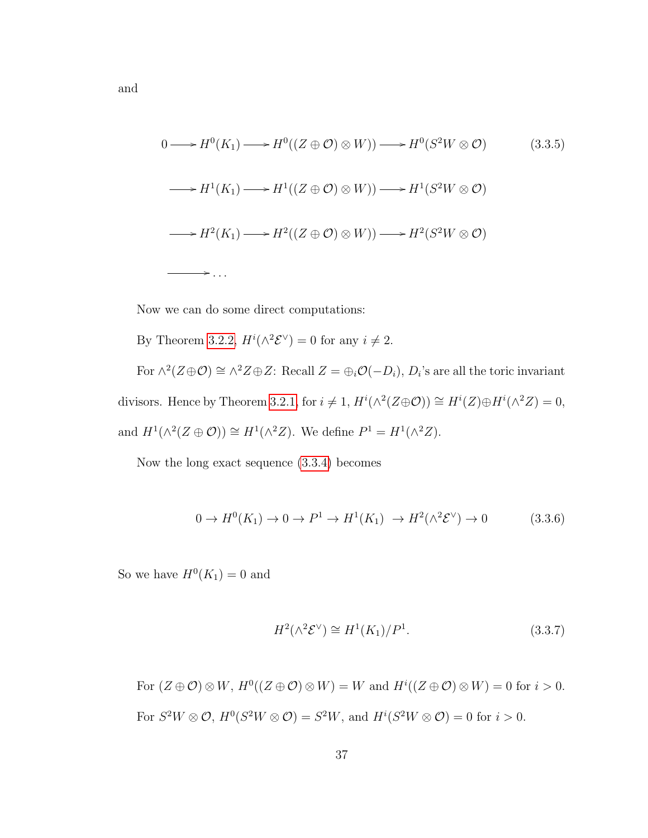<span id="page-44-0"></span>
$$
0 \longrightarrow H^{0}(K_{1}) \longrightarrow H^{0}((Z \oplus \mathcal{O}) \otimes W)) \longrightarrow H^{0}(S^{2}W \otimes \mathcal{O}) \tag{3.3.5}
$$
  

$$
\longrightarrow H^{1}(K_{1}) \longrightarrow H^{1}((Z \oplus \mathcal{O}) \otimes W)) \longrightarrow H^{1}(S^{2}W \otimes \mathcal{O})
$$
  

$$
\longrightarrow H^{2}(K_{1}) \longrightarrow H^{2}((Z \oplus \mathcal{O}) \otimes W)) \longrightarrow H^{2}(S^{2}W \otimes \mathcal{O})
$$
  

$$
\longrightarrow \dots
$$

Now we can do some direct computations:

By Theorem 3.2.2, 
$$
H^{i}(\wedge^{2} \mathcal{E}^{\vee}) = 0
$$
 for any  $i \neq 2$ .  
For  $\wedge^{2}(Z \oplus \mathcal{O}) \cong \wedge^{2} Z \oplus Z$ : Recall  $Z = \oplus_{i} \mathcal{O}(-D_{i})$ ,  $D_{i}$ 's are all the toric invariant  
divisors. Hence by Theorem 3.2.1, for  $i \neq 1$ ,  $H^{i}(\wedge^{2}(Z \oplus \mathcal{O})) \cong H^{i}(Z) \oplus H^{i}(\wedge^{2} Z) = 0$ ,  
and  $H^{1}(\wedge^{2}(Z \oplus \mathcal{O})) \cong H^{1}(\wedge^{2} Z)$ . We define  $P^{1} = H^{1}(\wedge^{2} Z)$ .

Now the long exact sequence [\(3.3.4\)](#page-43-1) becomes

$$
0 \to H^0(K_1) \to 0 \to P^1 \to H^1(K_1) \to H^2(\wedge^2 \mathcal{E}^\vee) \to 0 \tag{3.3.6}
$$

So we have  $H^0(K_1) = 0$  and

<span id="page-44-1"></span>
$$
H^2(\wedge^2 \mathcal{E}^\vee) \cong H^1(K_1)/P^1. \tag{3.3.7}
$$

For  $(Z \oplus \mathcal{O}) \otimes W$ ,  $H^0((Z \oplus \mathcal{O}) \otimes W) = W$  and  $H^i((Z \oplus \mathcal{O}) \otimes W) = 0$  for  $i > 0$ .

For  $S^2W \otimes \mathcal{O}$ ,  $H^0(S^2W \otimes \mathcal{O}) = S^2W$ , and  $H^i(S^2W \otimes \mathcal{O}) = 0$  for  $i > 0$ .

37

and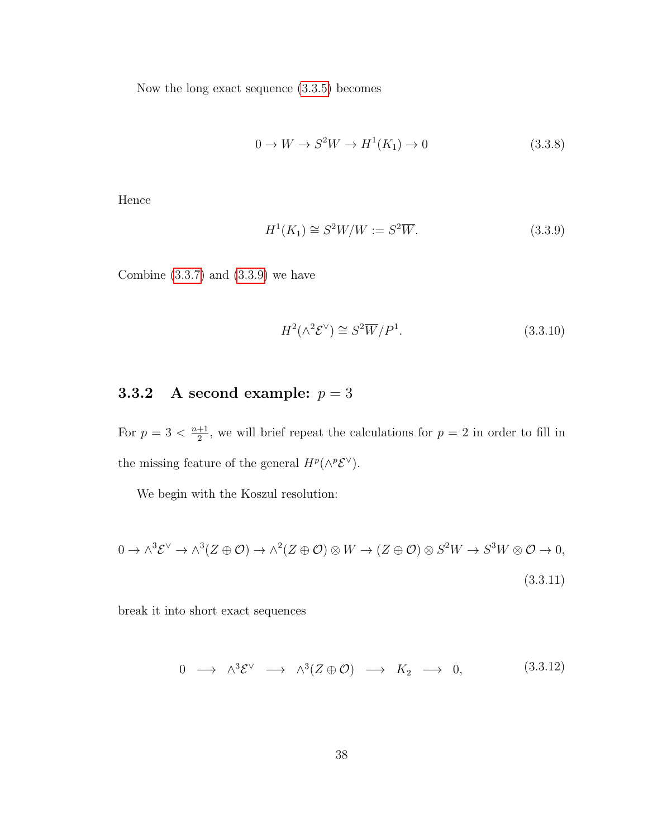Now the long exact sequence [\(3.3.5\)](#page-44-0) becomes

$$
0 \to W \to S^2W \to H^1(K_1) \to 0 \tag{3.3.8}
$$

Hence

<span id="page-45-1"></span>
$$
H1(K1) \cong S2W/W := S2W.
$$
\n(3.3.9)

Combine  $(3.3.7)$  and  $(3.3.9)$  we have

$$
H^2(\wedge^2 \mathcal{E}^\vee) \cong S^2 \overline{W}/P^1. \tag{3.3.10}
$$

#### <span id="page-45-0"></span>3.3.2 A second example:  $p = 3$

For  $p = 3 < \frac{n+1}{2}$  $\frac{+1}{2}$ , we will brief repeat the calculations for  $p=2$  in order to fill in the missing feature of the general  $H^p(\wedge^p \mathcal{E}^{\vee})$ .

We begin with the Koszul resolution:

$$
0 \to \wedge^3 \mathcal{E}^{\vee} \to \wedge^3 (Z \oplus \mathcal{O}) \to \wedge^2 (Z \oplus \mathcal{O}) \otimes W \to (Z \oplus \mathcal{O}) \otimes S^2 W \to S^3 W \otimes \mathcal{O} \to 0,
$$
\n(3.3.11)

break it into short exact sequences

$$
0 \longrightarrow \wedge^3 \mathcal{E}^{\vee} \longrightarrow \wedge^3 (Z \oplus \mathcal{O}) \longrightarrow K_2 \longrightarrow 0, \qquad (3.3.12)
$$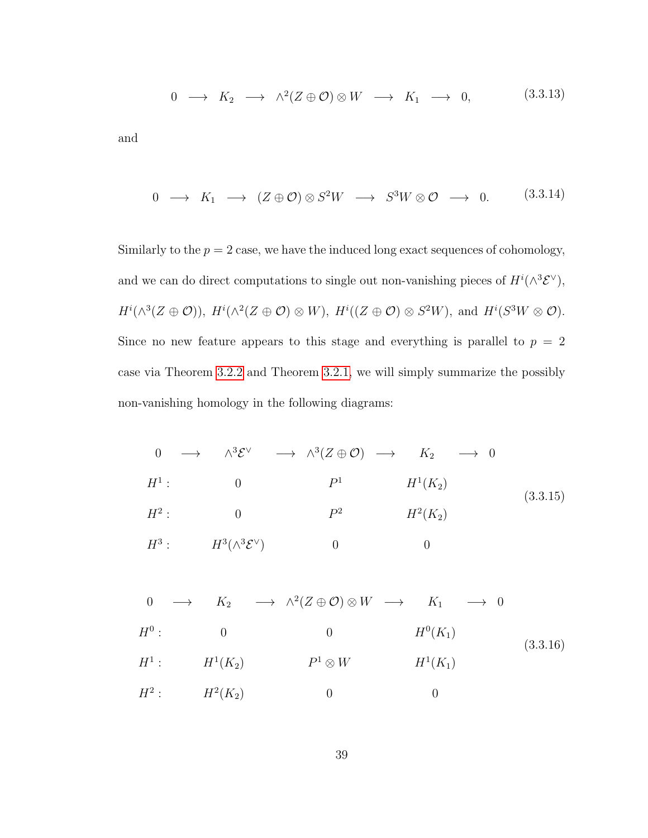$$
0 \longrightarrow K_2 \longrightarrow \wedge^2(Z \oplus \mathcal{O}) \otimes W \longrightarrow K_1 \longrightarrow 0, \tag{3.3.13}
$$

and

$$
0 \longrightarrow K_1 \longrightarrow (Z \oplus \mathcal{O}) \otimes S^2 W \longrightarrow S^3 W \otimes \mathcal{O} \longrightarrow 0. \qquad (3.3.14)
$$

Similarly to the  $p = 2$  case, we have the induced long exact sequences of cohomology, and we can do direct computations to single out non-vanishing pieces of  $H^{i}(\wedge^{3} \mathcal{E}^{\vee}),$  $H^i(\wedge^3(Z \oplus \mathcal{O}))$ ,  $H^i(\wedge^2(Z \oplus \mathcal{O}) \otimes W)$ ,  $H^i((Z \oplus \mathcal{O}) \otimes S^2W)$ , and  $H^i(S^3W \otimes \mathcal{O})$ . Since no new feature appears to this stage and everything is parallel to  $p = 2$ case via Theorem [3.2.2](#page-40-0) and Theorem [3.2.1,](#page-40-1) we will simply summarize the possibly non-vanishing homology in the following diagrams:

<span id="page-46-0"></span>
$$
0 \longrightarrow \wedge^{3} \mathcal{E}^{\vee} \longrightarrow \wedge^{3} (Z \oplus \mathcal{O}) \longrightarrow K_{2} \longrightarrow 0
$$
  
\n
$$
H^{1}: \qquad 0 \qquad P^{1} \qquad H^{1}(K_{2})
$$
  
\n
$$
H^{2}: \qquad 0 \qquad P^{2} \qquad H^{2}(K_{2})
$$
  
\n
$$
H^{3}: \qquad H^{3}(\wedge^{3} \mathcal{E}^{\vee}) \qquad 0 \qquad 0
$$
  
\n(3.3.15)

$$
0 \longrightarrow K_2 \longrightarrow \wedge^2(Z \oplus \mathcal{O}) \otimes W \longrightarrow K_1 \longrightarrow 0
$$
  
\n
$$
H^0: \qquad 0 \qquad 0 \qquad H^0(K_1)
$$
  
\n
$$
H^1: \qquad H^1(K_2) \qquad P^1 \otimes W \qquad H^1(K_1)
$$
  
\n
$$
H^2: \qquad H^2(K_2) \qquad 0 \qquad 0
$$
  
\n(3.3.16)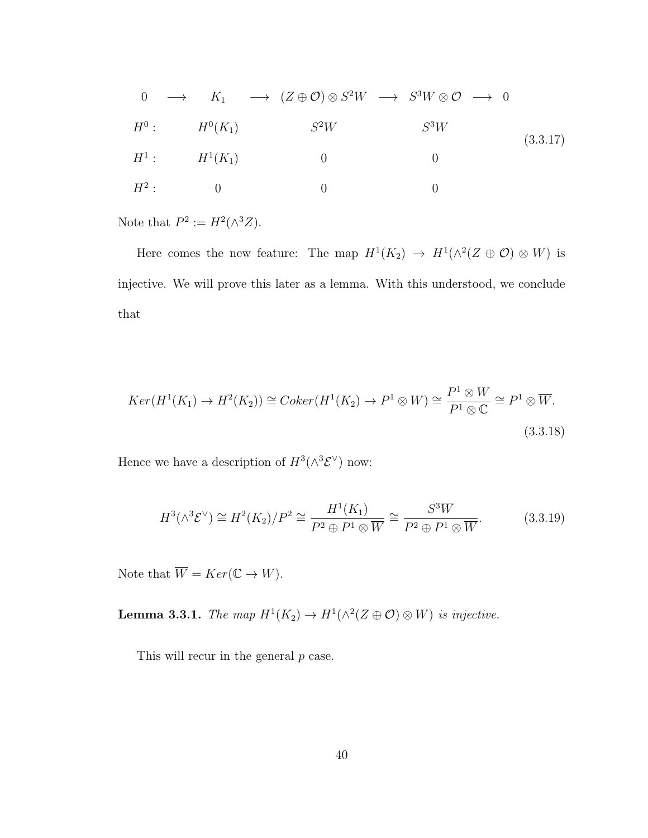$$
0 \longrightarrow K_1 \longrightarrow (Z \oplus \mathcal{O}) \otimes S^2 W \longrightarrow S^3 W \otimes \mathcal{O} \longrightarrow 0
$$
  
\n
$$
H^0: H^0(K_1) \longrightarrow S^2 W \longrightarrow S^3 W
$$
  
\n
$$
H^1: H^1(K_1) \longrightarrow 0 \longrightarrow 0
$$
  
\n
$$
H^2: 0 \longrightarrow 0
$$
  
\n
$$
0
$$
  
\n
$$
0
$$
  
\n
$$
0
$$
  
\n
$$
0
$$
  
\n
$$
0
$$
  
\n
$$
0
$$
  
\n
$$
0
$$
  
\n
$$
0
$$
  
\n
$$
0
$$
  
\n
$$
0
$$
  
\n
$$
0
$$
  
\n
$$
0
$$
  
\n
$$
0
$$
  
\n
$$
0
$$
  
\n
$$
0
$$
  
\n
$$
0
$$
  
\n
$$
0
$$
  
\n
$$
0
$$
  
\n
$$
0
$$
  
\n
$$
0
$$
  
\n
$$
0
$$
  
\n
$$
0
$$
  
\n
$$
0
$$
  
\n
$$
0
$$
  
\n
$$
0
$$
  
\n
$$
0
$$
  
\n
$$
0
$$
  
\n
$$
0
$$
  
\n
$$
0
$$
  
\n
$$
0
$$
  
\n
$$
0
$$
  
\n
$$
0
$$
  
\n
$$
0
$$
  
\n
$$
0
$$
  
\n
$$
0
$$
  
\n
$$
0
$$
  
\n
$$
0
$$
  
\n
$$
0
$$
  
\n
$$
0
$$
  
\n
$$
0
$$
  
\n
$$
0
$$
  
\n
$$
0
$$
  
\n
$$
0
$$
  
\n
$$
0
$$
  
\n
$$
0
$$
  
\n
$$
0
$$
  
\n
$$
0
$$
  
\n
$$
0
$$

Note that  $P^2 := H^2(\wedge^3 Z)$ .

Here comes the new feature: The map  $H^1(K_2) \to H^1(\wedge^2(Z \oplus \mathcal{O}) \otimes W)$  is injective. We will prove this later as a lemma. With this understood, we conclude that

$$
Ker(H^1(K_1) \to H^2(K_2)) \cong Coker(H^1(K_2) \to P^1 \otimes W) \cong \frac{P^1 \otimes W}{P^1 \otimes \mathbb{C}} \cong P^1 \otimes \overline{W}.
$$
\n(3.3.18)

Hence we have a description of  $H^3(\wedge^3 {\mathcal{E}}^{\vee})$  now:

$$
H^3(\wedge^3 \mathcal{E}^{\vee}) \cong H^2(K_2)/P^2 \cong \frac{H^1(K_1)}{P^2 \oplus P^1 \otimes \overline{W}} \cong \frac{S^3 \overline{W}}{P^2 \oplus P^1 \otimes \overline{W}}.\tag{3.3.19}
$$

Note that  $\overline{W} = Ker(\mathbb{C} \to W)$ .

**Lemma 3.3.1.** The map  $H^1(K_2) \to H^1(\wedge^2(Z \oplus \mathcal{O}) \otimes W)$  is injective.

This will recur in the general  $p$  case.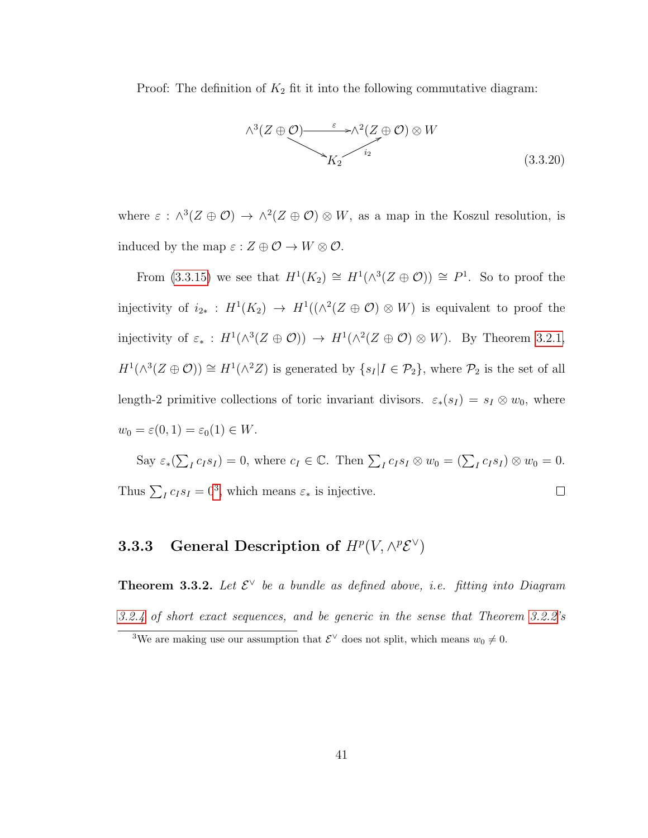Proof: The definition of  $K_2$  fit it into the following commutative diagram:



where  $\varepsilon : \wedge^3(Z \oplus \mathcal{O}) \to \wedge^2(Z \oplus \mathcal{O}) \otimes W$ , as a map in the Koszul resolution, is induced by the map  $\varepsilon : Z \oplus \mathcal{O} \to W \otimes \mathcal{O}$ .

From [\(3.3.15\)](#page-46-0) we see that  $H^1(K_2) \cong H^1(\wedge^3 (Z \oplus \mathcal{O})) \cong P^1$ . So to proof the injectivity of  $i_{2*}: H^1(K_2) \to H^1((\wedge^2(Z \oplus \mathcal{O}) \otimes W))$  is equivalent to proof the injectivity of  $\varepsilon_*$ :  $H^1(\wedge^3(Z \oplus \mathcal{O})) \to H^1(\wedge^2(Z \oplus \mathcal{O}) \otimes W)$ . By Theorem [3.2.1,](#page-40-1)  $H^1(\wedge^3(Z \oplus \mathcal{O})) \cong H^1(\wedge^2 Z)$  is generated by  $\{s_I | I \in \mathcal{P}_2\}$ , where  $\mathcal{P}_2$  is the set of all length-2 primitive collections of toric invariant divisors.  $\varepsilon_*(s_I) = s_I \otimes w_0$ , where  $w_0 = \varepsilon(0, 1) = \varepsilon_0(1) \in W$ .

Say  $\varepsilon_*(\sum_I c_I s_I) = 0$ , where  $c_I \in \mathbb{C}$ . Then  $\sum_I c_I s_I \otimes w_0 = (\sum_I c_I s_I) \otimes w_0 = 0$ . Thus  $\sum_{I} c_{I} s_{I} = 0^{3}$  $\sum_{I} c_{I} s_{I} = 0^{3}$  $\sum_{I} c_{I} s_{I} = 0^{3}$ , which means  $\varepsilon_{*}$  is injective.  $\Box$ 

#### <span id="page-48-0"></span>**3.3.3** General Description of  $H^p(V, \wedge^p \mathcal{E}^{\vee})$

**Theorem 3.3.2.** Let  $\mathcal{E}^{\vee}$  be a bundle as defined above, i.e. fitting into Diagram [3.2.4](#page-39-1) of short exact sequences, and be generic in the sense that Theorem [3.2.2'](#page-40-0)s

<span id="page-48-1"></span><sup>&</sup>lt;sup>3</sup>We are making use our assumption that  $\mathcal{E}^{\vee}$  does not split, which means  $w_0 \neq 0$ .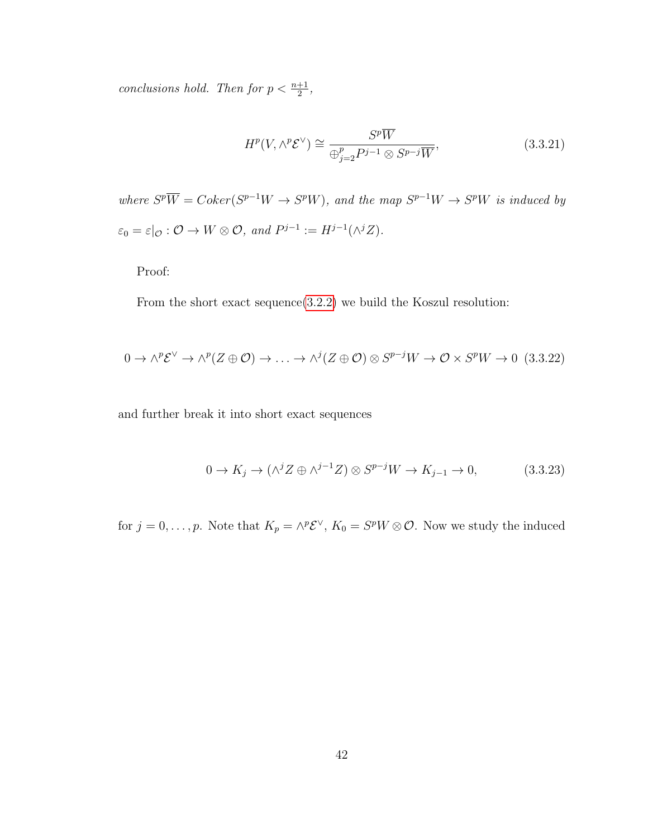conclusions hold. Then for  $p < \frac{n+1}{2}$ ,

<span id="page-49-0"></span>
$$
H^p(V, \wedge^p \mathcal{E}^\vee) \cong \frac{S^p \overline{W}}{\bigoplus_{j=2}^p P^{j-1} \otimes S^{p-j} \overline{W}},\tag{3.3.21}
$$

where  $S^p \overline{W} = Coker(S^{p-1}W \to S^pW)$ , and the map  $S^{p-1}W \to S^pW$  is induced by  $\varepsilon_0 = \varepsilon|_{\mathcal{O}} : \mathcal{O} \to W \otimes \mathcal{O}, \text{ and } P^{j-1} := H^{j-1}(\wedge^j Z).$ 

Proof:

From the short exact sequence[\(3.2.2\)](#page-38-3) we build the Koszul resolution:

$$
0 \to \wedge^p \mathcal{E}^{\vee} \to \wedge^p (Z \oplus \mathcal{O}) \to \dots \to \wedge^j (Z \oplus \mathcal{O}) \otimes S^{p-j} W \to \mathcal{O} \times S^p W \to 0 \quad (3.3.22)
$$

and further break it into short exact sequences

$$
0 \to K_j \to (\wedge^j Z \oplus \wedge^{j-1} Z) \otimes S^{p-j} W \to K_{j-1} \to 0,
$$
\n(3.3.23)

for  $j = 0, \ldots, p$ . Note that  $K_p = \wedge^p \mathcal{E}^{\vee}$ ,  $K_0 = S^p W \otimes \mathcal{O}$ . Now we study the induced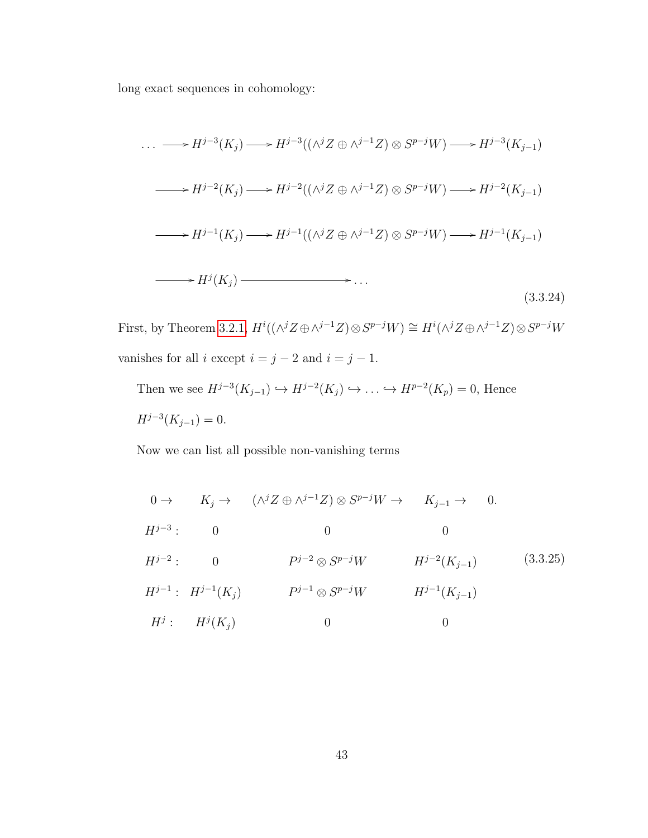long exact sequences in cohomology:

<span id="page-50-0"></span>
$$
\cdots \longrightarrow H^{j-3}(K_j) \longrightarrow H^{j-3}((\wedge^j Z \oplus \wedge^{j-1} Z) \otimes S^{p-j}W) \longrightarrow H^{j-3}(K_{j-1})
$$
  
\n
$$
\longrightarrow H^{j-2}(K_j) \longrightarrow H^{j-2}((\wedge^j Z \oplus \wedge^{j-1} Z) \otimes S^{p-j}W) \longrightarrow H^{j-2}(K_{j-1})
$$
  
\n
$$
\longrightarrow H^{j-1}(K_j) \longrightarrow H^{j-1}((\wedge^j Z \oplus \wedge^{j-1} Z) \otimes S^{p-j}W) \longrightarrow H^{j-1}(K_{j-1})
$$
  
\n
$$
\longrightarrow H^j(K_j) \longrightarrow \cdots
$$
  
\n(3.3.24)

First, by Theorem [3.2.1,](#page-40-1)  $H^i((\wedge^j Z \oplus \wedge^{j-1} Z) \otimes S^{p-j}W) \cong H^i(\wedge^j Z \oplus \wedge^{j-1} Z) \otimes S^{p-j}W$ vanishes for all  $i$  except  $i = j - 2$  and  $i = j - 1$ .

Then we see  $H^{j-3}(K_{j-1}) \hookrightarrow H^{j-2}(K_j) \hookrightarrow \dots \hookrightarrow H^{p-2}(K_p) = 0$ , Hence  $H^{j-3}(K_{j-1})=0.$ 

Now we can list all possible non-vanishing terms

$$
0 \to K_j \to (\wedge^j Z \oplus \wedge^{j-1} Z) \otimes S^{p-j}W \to K_{j-1} \to 0.
$$
  
\n
$$
H^{j-3}: \qquad 0 \qquad 0 \qquad 0
$$
  
\n
$$
H^{j-2}: \qquad 0 \qquad P^{j-2} \otimes S^{p-j}W \qquad H^{j-2}(K_{j-1}) \qquad (3.3.25)
$$
  
\n
$$
H^{j-1}: H^{j-1}(K_j) \qquad P^{j-1} \otimes S^{p-j}W \qquad H^{j-1}(K_{j-1})
$$
  
\n
$$
H^j: H^j(K_j) \qquad 0 \qquad 0
$$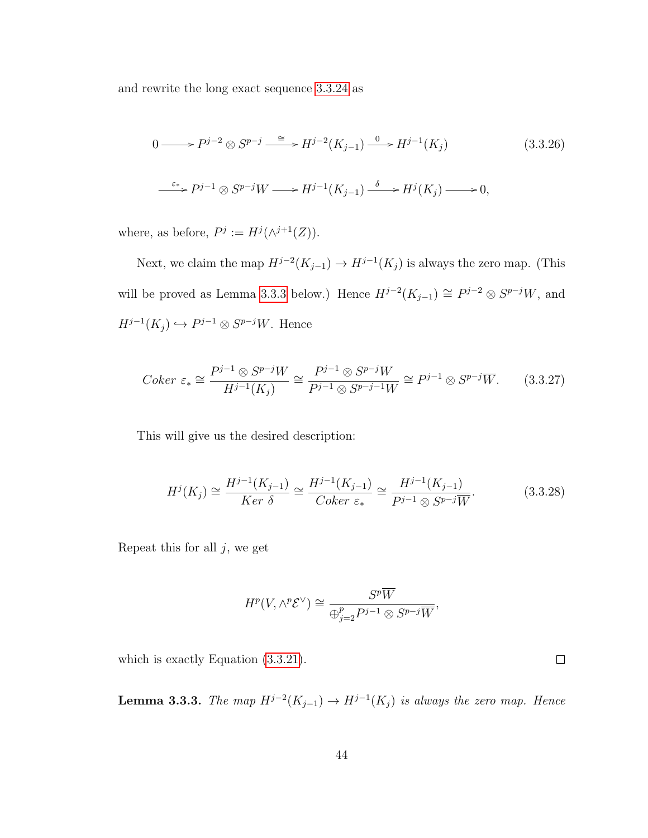and rewrite the long exact sequence [3.3.24](#page-50-0) as

$$
0 \longrightarrow P^{j-2} \otimes S^{p-j} \xrightarrow{\cong} H^{j-2}(K_{j-1}) \xrightarrow{0} H^{j-1}(K_j)
$$
(3.3.26)  

$$
\xrightarrow{\varepsilon_*} P^{j-1} \otimes S^{p-j}W \longrightarrow H^{j-1}(K_{j-1}) \xrightarrow{\delta} H^j(K_j) \longrightarrow 0,
$$

where, as before,  $P^j := H^j(\wedge^{j+1}(Z)).$ 

Next, we claim the map  $H^{j-2}(K_{j-1}) \to H^{j-1}(K_j)$  is always the zero map. (This will be proved as Lemma [3.3.3](#page-51-0) below.) Hence  $H^{j-2}(K_{j-1}) \cong P^{j-2} \otimes S^{p-j}W$ , and  $H^{j-1}(K_j) \hookrightarrow P^{j-1} \otimes S^{p-j}W$ . Hence

$$
Coker \ \varepsilon_* \cong \frac{P^{j-1} \otimes S^{p-j}W}{H^{j-1}(K_j)} \cong \frac{P^{j-1} \otimes S^{p-j}W}{P^{j-1} \otimes S^{p-j-1}W} \cong P^{j-1} \otimes S^{p-j}W. \tag{3.3.27}
$$

This will give us the desired description:

$$
H^{j}(K_{j}) \cong \frac{H^{j-1}(K_{j-1})}{Ker \delta} \cong \frac{H^{j-1}(K_{j-1})}{Coker \epsilon_{*}} \cong \frac{H^{j-1}(K_{j-1})}{P^{j-1} \otimes S^{p-j} \overline{W}}.
$$
 (3.3.28)

Repeat this for all  $j$ , we get

$$
H^p(V, \wedge^p {\mathcal E}^\vee) \cong \frac{S^p \overline{W}}{\oplus_{j=2}^p P^{j-1} \otimes S^{p-j} \overline{W}},
$$

<span id="page-51-0"></span>which is exactly Equation [\(3.3.21\)](#page-49-0).

**Lemma 3.3.3.** The map  $H^{j-2}(K_{j-1}) \to H^{j-1}(K_j)$  is always the zero map. Hence

 $\Box$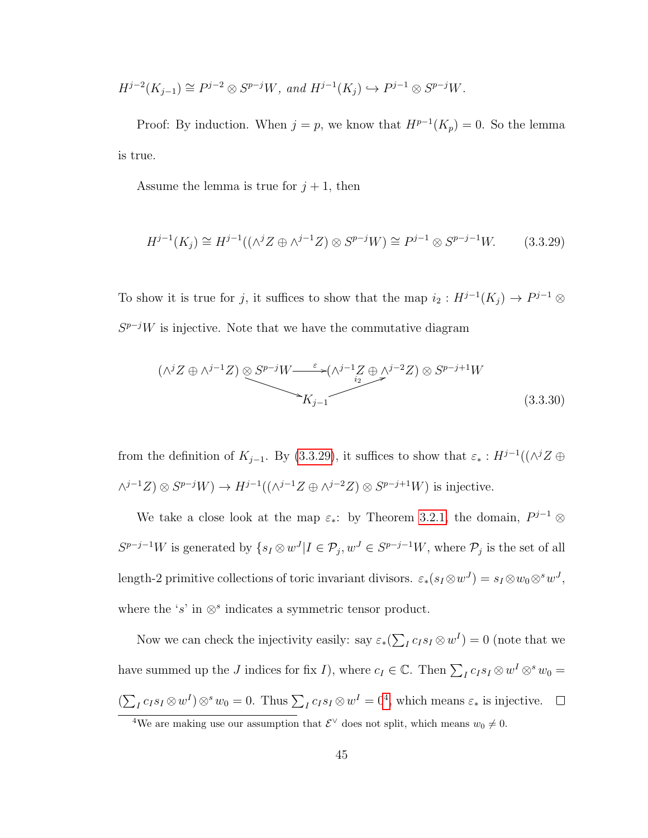$$
H^{j-2}(K_{j-1}) \cong P^{j-2} \otimes S^{p-j}W, \text{ and } H^{j-1}(K_j) \hookrightarrow P^{j-1} \otimes S^{p-j}W.
$$

Proof: By induction. When  $j = p$ , we know that  $H^{p-1}(K_p) = 0$ . So the lemma is true.

Assume the lemma is true for  $j + 1$ , then

<span id="page-52-0"></span>
$$
H^{j-1}(K_j) \cong H^{j-1}((\wedge^j Z \oplus \wedge^{j-1} Z) \otimes S^{p-j}W) \cong P^{j-1} \otimes S^{p-j-1}W. \tag{3.3.29}
$$

To show it is true for j, it suffices to show that the map  $i_2: H^{j-1}(K_j) \to P^{j-1} \otimes$  $S^{p-j}W$  is injective. Note that we have the commutative diagram

$$
(\wedge^{j}Z \oplus \wedge^{j-1}Z) \otimes S^{p-j}W \xrightarrow{\varepsilon} (\wedge^{j-1}Z \oplus \wedge^{j-2}Z) \otimes S^{p-j+1}W
$$
  
\n
$$
K_{j-1}
$$
\n(3.3.30)

from the definition of  $K_{j-1}$ . By [\(3.3.29\)](#page-52-0), it suffices to show that  $\varepsilon_* : H^{j-1}((\wedge^j Z \oplus$  $\wedge^{j-1}Z\big) \otimes S^{p-j}W \big) \rightarrow H^{j-1}((\wedge^{j-1}Z \oplus \wedge^{j-2}Z) \otimes S^{p-j+1}W)$  is injective.

We take a close look at the map  $\varepsilon_*$ : by Theorem [3.2.1,](#page-40-1) the domain,  $P^{j-1}$  ⊗  $S^{p-j-1}W$  is generated by  $\{s_I \otimes w^J | I \in \mathcal{P}_j, w^J \in S^{p-j-1}W$ , where  $\mathcal{P}_j$  is the set of all length-2 primitive collections of toric invariant divisors.  $\varepsilon_*(s_I \otimes w^J) = s_I \otimes w_0 \otimes^s w^J$ , where the 's' in  $\otimes^s$  indicates a symmetric tensor product.

Now we can check the injectivity easily: say  $\varepsilon_*(\sum_I c_I s_I \otimes w^I) = 0$  (note that we have summed up the J indices for fix I), where  $c_I \in \mathbb{C}$ . Then  $\sum_I c_I s_I \otimes w^I \otimes^s w_0 =$  $(\sum_I c_I s_I \otimes w^I) \otimes^s w_0 = 0$ . Thus  $\sum_I c_I s_I \otimes w^I = 0^4$  $\sum_I c_I s_I \otimes w^I = 0^4$ , which means  $\varepsilon_*$  is injective.

<span id="page-52-1"></span><sup>&</sup>lt;sup>4</sup>We are making use our assumption that  $\mathcal{E}^{\vee}$  does not split, which means  $w_0 \neq 0$ .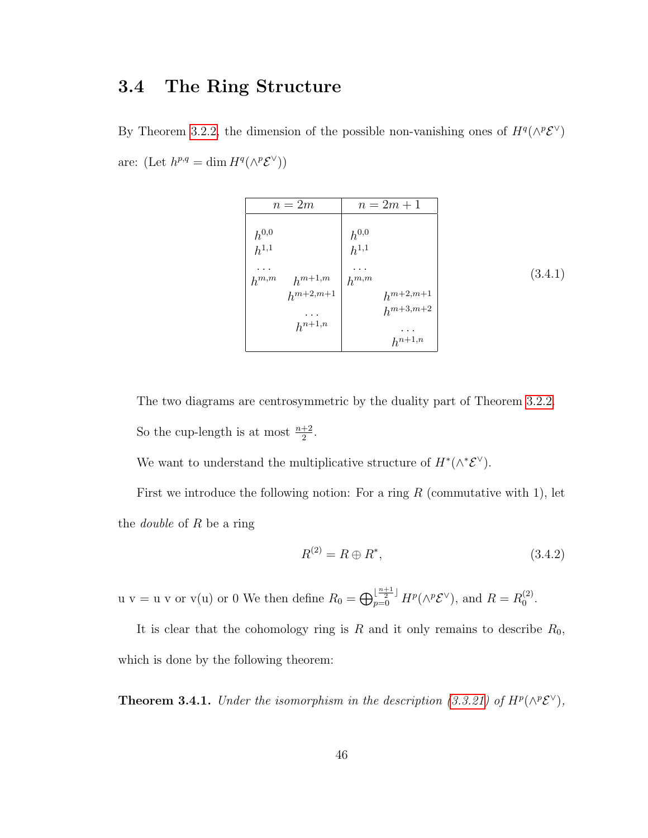#### <span id="page-53-0"></span>3.4 The Ring Structure

By Theorem [3.2.2,](#page-40-0) the dimension of the possible non-vanishing ones of  $H^q(\wedge^p \mathcal{E}^{\vee})$ are: (Let  $h^{p,q} = \dim H^q(\wedge^p \mathcal{E}^{\vee}))$ 

| $n=2m$                   | $n = 2m + 1$                   |
|--------------------------|--------------------------------|
| $h^{0,0}$<br>$h^{1,1}$   | $h^{0,0}$<br>$h^{1,1}$         |
| $h^{m+1,m}$<br>$h^{m,m}$ | $h^{m,m}$                      |
| $h^{m+2,m+1}$            | $h^{m+2,m+1}$<br>$h^{m+3,m+2}$ |
| $h^{n+1,n}$              |                                |
|                          | $h^{n+1,n}$                    |

The two diagrams are centrosymmetric by the duality part of Theorem [3.2.2.](#page-40-0) So the cup-length is at most  $\frac{n+2}{2}$ .

We want to understand the multiplicative structure of  $H^*(\wedge^*\mathcal{E}^{\vee})$ .

First we introduce the following notion: For a ring  $R$  (commutative with 1), let the *double* of  $R$  be a ring

$$
R^{(2)} = R \oplus R^*,\tag{3.4.2}
$$

u v = u v or v(u) or 0 We then define  $R_0 = \bigoplus_{p=0}^{\lfloor \frac{n+1}{2} \rfloor} H^p(\wedge^p \mathcal{E}^{\vee})$ , and  $R = R_0^{(2)}$  $\binom{2}{0}$ .

It is clear that the cohomology ring is  $R$  and it only remains to describe  $R_0$ , which is done by the following theorem:

**Theorem 3.4.1.** Under the isomorphism in the description [\(3.3.21\)](#page-49-0) of  $H^p(\wedge^p \mathcal{E}^{\vee})$ ,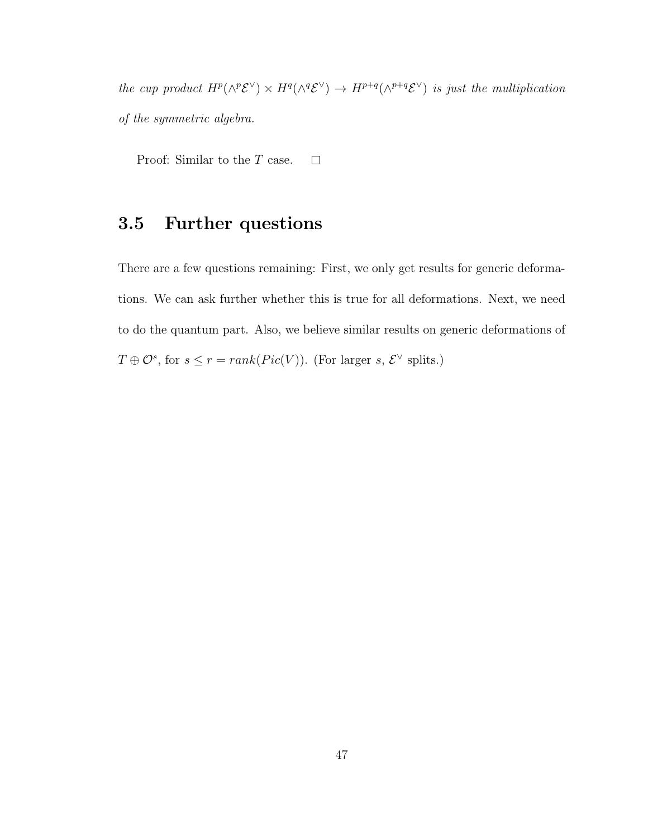the cup product  $H^p(\wedge^p {\mathcal{E}}^{\vee}) \times H^q(\wedge^q {\mathcal{E}}^{\vee}) \to H^{p+q}(\wedge^{p+q} {\mathcal{E}}^{\vee})$  is just the multiplication of the symmetric algebra.

Proof: Similar to the T case.  $\Box$ 

### <span id="page-54-0"></span>3.5 Further questions

There are a few questions remaining: First, we only get results for generic deformations. We can ask further whether this is true for all deformations. Next, we need to do the quantum part. Also, we believe similar results on generic deformations of  $T \oplus \mathcal{O}^s$ , for  $s \leq r = rank(Pic(V))$ . (For larger s,  $\mathcal{E}^{\vee}$  splits.)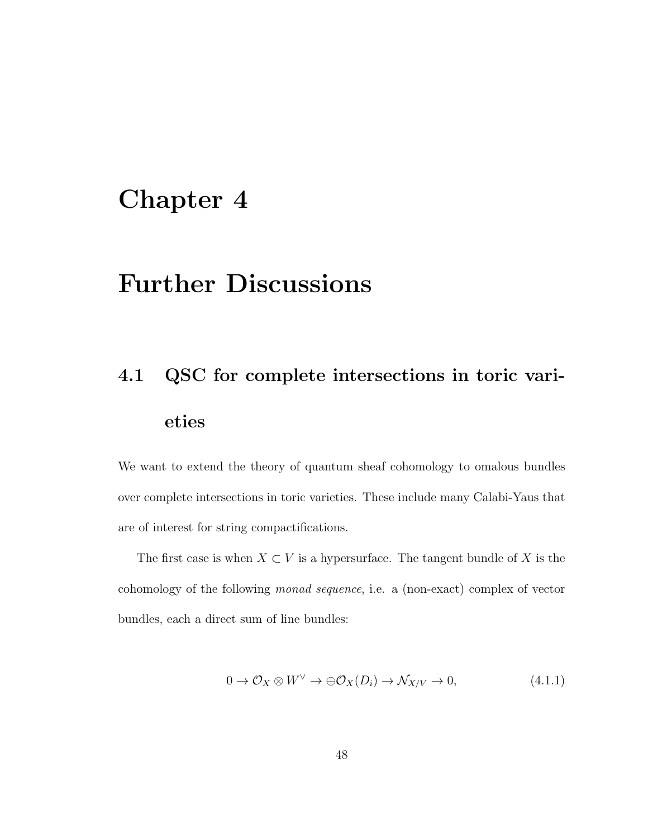### <span id="page-55-0"></span>Chapter 4

### Further Discussions

# <span id="page-55-1"></span>4.1 QSC for complete intersections in toric varieties

We want to extend the theory of quantum sheaf cohomology to omalous bundles over complete intersections in toric varieties. These include many Calabi-Yaus that are of interest for string compactifications.

The first case is when  $X \subset V$  is a hypersurface. The tangent bundle of X is the cohomology of the following monad sequence, i.e. a (non-exact) complex of vector bundles, each a direct sum of line bundles:

$$
0 \to \mathcal{O}_X \otimes W^\vee \to \oplus \mathcal{O}_X(D_i) \to \mathcal{N}_{X/V} \to 0,
$$
\n(4.1.1)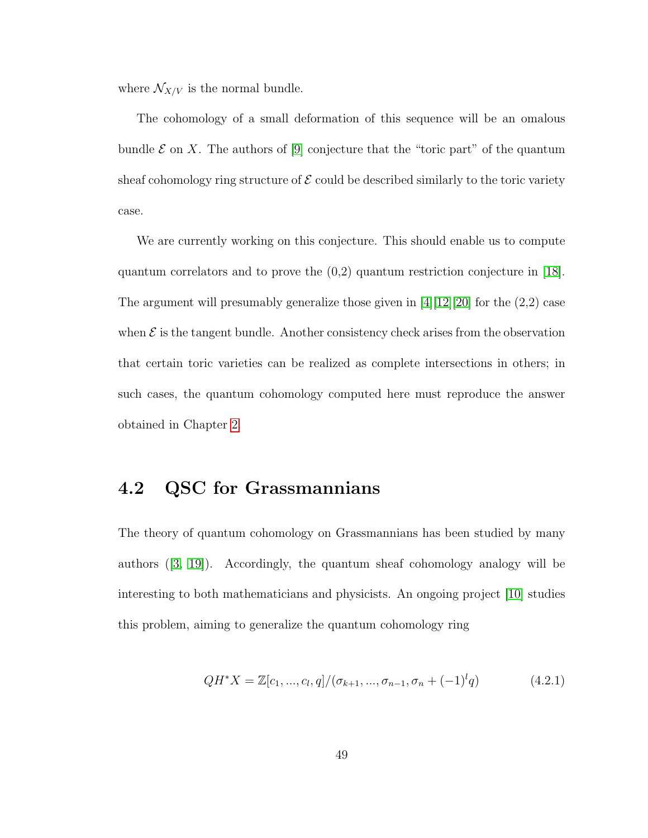where  $\mathcal{N}_{X/V}$  is the normal bundle.

The cohomology of a small deformation of this sequence will be an omalous bundle  $\mathcal E$  on X. The authors of [\[9\]](#page-59-1) conjecture that the "toric part" of the quantum sheaf cohomology ring structure of  $\mathcal E$  could be described similarly to the toric variety case.

We are currently working on this conjecture. This should enable us to compute quantum correlators and to prove the (0,2) quantum restriction conjecture in [\[18\]](#page-60-4). The argument will presumably generalize those given in  $[4][12][20]$  $[4][12][20]$  $[4][12][20]$  for the  $(2,2)$  case when  $\mathcal E$  is the tangent bundle. Another consistency check arises from the observation that certain toric varieties can be realized as complete intersections in others; in such cases, the quantum cohomology computed here must reproduce the answer obtained in Chapter [2.](#page-11-0)

#### <span id="page-56-0"></span>4.2 QSC for Grassmannians

The theory of quantum cohomology on Grassmannians has been studied by many authors ([\[3,](#page-58-4) [19\]](#page-60-5)). Accordingly, the quantum sheaf cohomology analogy will be interesting to both mathematicians and physicists. An ongoing project [\[10\]](#page-59-4) studies this problem, aiming to generalize the quantum cohomology ring

$$
QH^*X = \mathbb{Z}[c_1, ..., c_l, q]/(\sigma_{k+1}, ..., \sigma_{n-1}, \sigma_n + (-1)^l q)
$$
(4.2.1)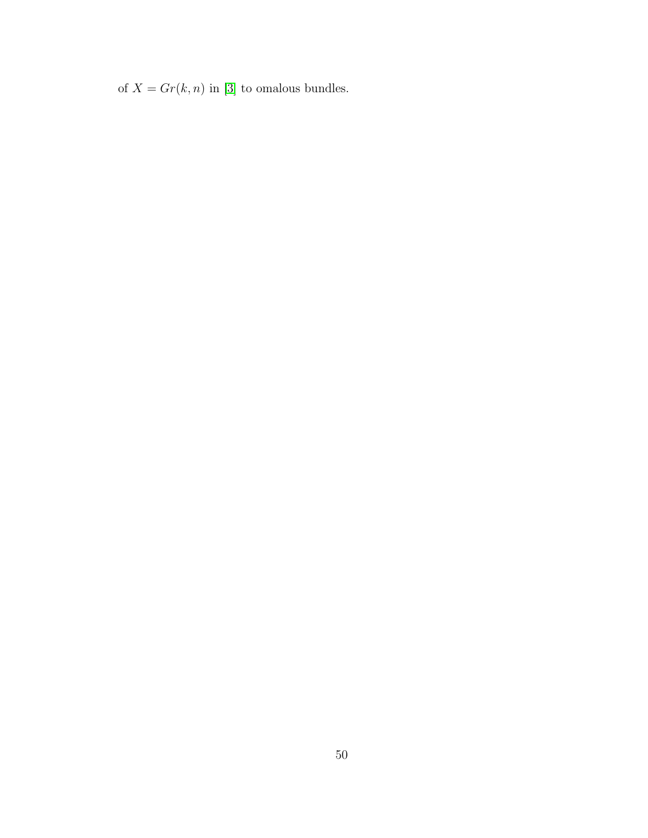of  $X = Gr(k, n)$  in [\[3\]](#page-58-4) to omalous bundles.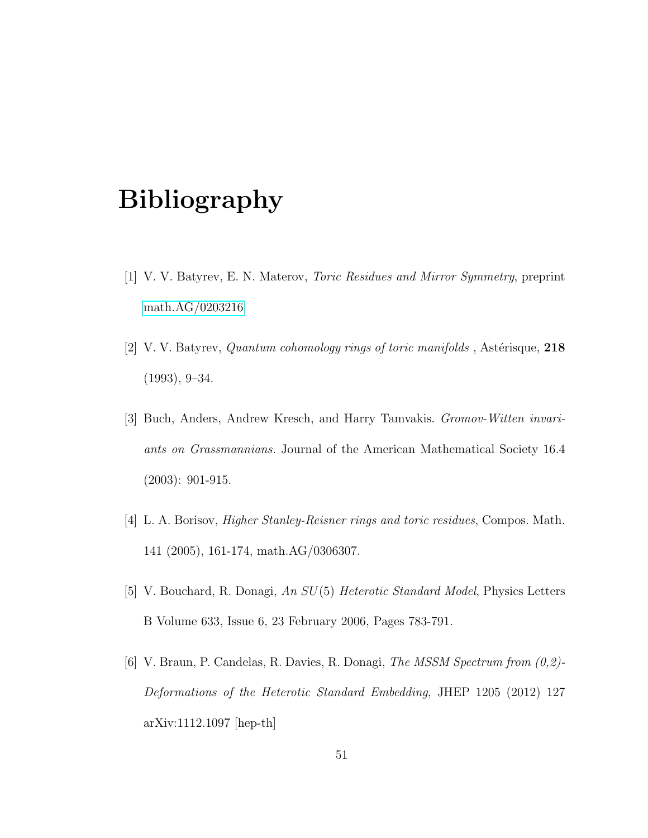### <span id="page-58-0"></span>Bibliography

- <span id="page-58-2"></span>[1] V. V. Batyrev, E. N. Materov, Toric Residues and Mirror Symmetry, preprint [math.AG/0203216](http://arxiv.org/abs/math/0203216)
- <span id="page-58-1"></span>[2] V. V. Batyrev, *Quantum cohomology rings of toric manifolds*, Astérisque,  $218$  $(1993), 9-34.$
- <span id="page-58-4"></span>[3] Buch, Anders, Andrew Kresch, and Harry Tamvakis. Gromov-Witten invariants on Grassmannians. Journal of the American Mathematical Society 16.4 (2003): 901-915.
- <span id="page-58-3"></span>[4] L. A. Borisov, Higher Stanley-Reisner rings and toric residues, Compos. Math. 141 (2005), 161-174, math.AG/0306307.
- [5] V. Bouchard, R. Donagi, An SU(5) Heterotic Standard Model, Physics Letters B Volume 633, Issue 6, 23 February 2006, Pages 783-791.
- [6] V. Braun, P. Candelas, R. Davies, R. Donagi, The MSSM Spectrum from (0,2)- Deformations of the Heterotic Standard Embedding, JHEP 1205 (2012) 127 arXiv:1112.1097 [hep-th]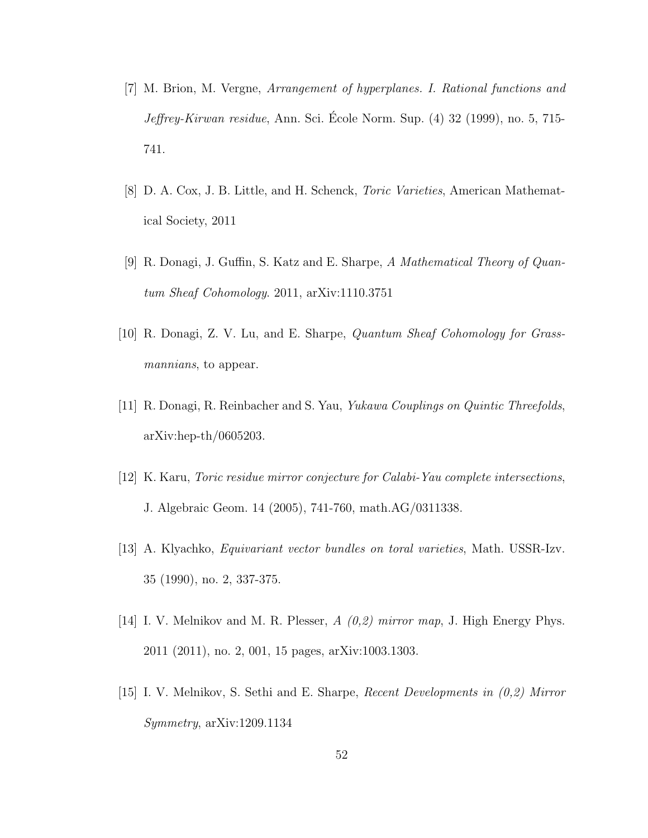- [7] M. Brion, M. Vergne, Arrangement of hyperplanes. I. Rational functions and  $Jeffrey-Kirwan residue$ , Ann. Sci. Ecole Norm. Sup.  $(4)$  32  $(1999)$ , no. 5, 715-741.
- <span id="page-59-2"></span>[8] D. A. Cox, J. B. Little, and H. Schenck, Toric Varieties, American Mathematical Society, 2011
- <span id="page-59-1"></span>[9] R. Donagi, J. Guffin, S. Katz and E. Sharpe, A Mathematical Theory of Quantum Sheaf Cohomology. 2011, arXiv:1110.3751
- <span id="page-59-4"></span>[10] R. Donagi, Z. V. Lu, and E. Sharpe, Quantum Sheaf Cohomology for Grassmannians, to appear.
- [11] R. Donagi, R. Reinbacher and S. Yau, Yukawa Couplings on Quintic Threefolds, arXiv:hep-th/0605203.
- <span id="page-59-3"></span>[12] K. Karu, Toric residue mirror conjecture for Calabi-Yau complete intersections, J. Algebraic Geom. 14 (2005), 741-760, math.AG/0311338.
- [13] A. Klyachko, Equivariant vector bundles on toral varieties, Math. USSR-Izv. 35 (1990), no. 2, 337-375.
- [14] I. V. Melnikov and M. R. Plesser,  $A(0,2)$  mirror map, J. High Energy Phys. 2011 (2011), no. 2, 001, 15 pages, arXiv:1003.1303.
- <span id="page-59-0"></span>[15] I. V. Melnikov, S. Sethi and E. Sharpe, Recent Developments in (0,2) Mirror Symmetry, arXiv:1209.1134